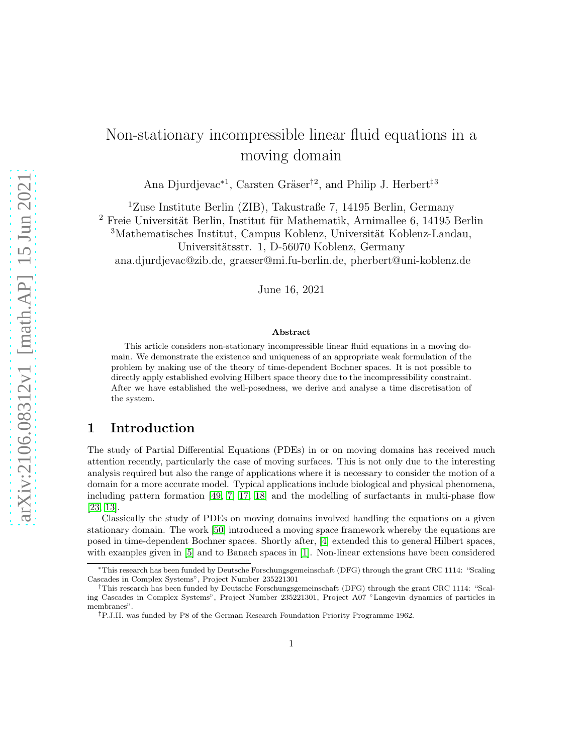# Non-stationary incompressible linear fluid equations in a moving domain

Ana Djurdjevac<sup>\*1</sup>, Carsten Gräser<sup>†2</sup>, and Philip J. Herbert<sup>‡3</sup>

<sup>1</sup>Zuse Institute Berlin (ZIB), Takustraße 7, 14195 Berlin, Germany

 $2$  Freie Universität Berlin, Institut für Mathematik, Arnimallee 6, 14195 Berlin

<sup>3</sup>Mathematisches Institut, Campus Koblenz, Universität Koblenz-Landau, Universitätsstr. 1, D-56070 Koblenz, Germany ana.djurdjevac@zib.de, graeser@mi.fu-berlin.de, pherbert@uni-koblenz.de

June 16, 2021

#### Abstract

This article considers non-stationary incompressible linear fluid equations in a moving domain. We demonstrate the existence and uniqueness of an appropriate weak formulation of the problem by making use of the theory of time-dependent Bochner spaces. It is not possible to directly apply established evolving Hilbert space theory due to the incompressibility constraint. After we have established the well-posedness, we derive and analyse a time discretisation of the system.

# 1 Introduction

The study of Partial Differential Equations (PDEs) in or on moving domains has received much attention recently, particularly the case of moving surfaces. This is not only due to the interesting analysis required but also the range of applications where it is necessary to consider the motion of a domain for a more accurate model. Typical applications include biological and physical phenomena, including pattern formation [\[49,](#page-28-0) [7,](#page-25-0) [17,](#page-26-0) [18\]](#page-26-1) and the modelling of surfactants in multi-phase flow [\[23,](#page-26-2) [13\]](#page-26-3).

Classically the study of PDEs on moving domains involved handling the equations on a given stationary domain. The work [\[50\]](#page-28-1) introduced a moving space framework whereby the equations are posed in time-dependent Bochner spaces. Shortly after, [\[4\]](#page-25-1) extended this to general Hilbert spaces, with examples given in [\[5\]](#page-25-2) and to Banach spaces in [\[1\]](#page-25-3). Non-linear extensions have been considered

<sup>∗</sup>This research has been funded by Deutsche Forschungsgemeinschaft (DFG) through the grant CRC 1114: "Scaling Cascades in Complex Systems", Project Number 235221301

<sup>†</sup>This research has been funded by Deutsche Forschungsgemeinschaft (DFG) through the grant CRC 1114: "Scaling Cascades in Complex Systems", Project Number 235221301, Project A07 "Langevin dynamics of particles in membranes".

<sup>‡</sup>P.J.H. was funded by P8 of the German Research Foundation Priority Programme 1962.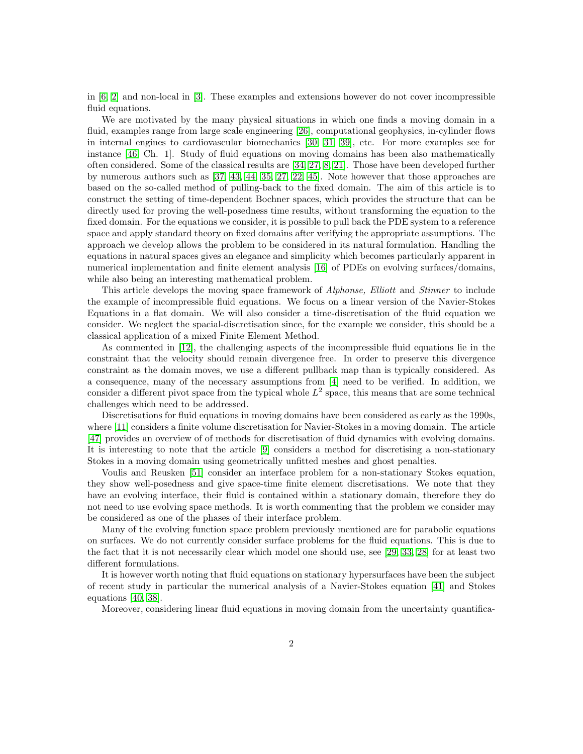in [\[6,](#page-25-4) [2\]](#page-25-5) and non-local in [\[3\]](#page-25-6). These examples and extensions however do not cover incompressible fluid equations.

We are motivated by the many physical situations in which one finds a moving domain in a fluid, examples range from large scale engineering [\[26\]](#page-27-0), computational geophysics, in-cylinder flows in internal engines to cardiovascular biomechanics [\[30,](#page-27-1) [31,](#page-27-2) [39\]](#page-27-3), etc. For more examples see for instance [\[46,](#page-28-2) Ch. 1]. Study of fluid equations on moving domains has been also mathematically often considered. Some of the classical results are [\[34,](#page-27-4) [27,](#page-27-5) [8,](#page-25-7) [21\]](#page-26-4). Those have been developed further by numerous authors such as [\[37,](#page-27-6) [43,](#page-28-3) [44,](#page-28-4) [35,](#page-27-7) [27,](#page-27-5) [22,](#page-26-5) [45\]](#page-28-5). Note however that those approaches are based on the so-called method of pulling-back to the fixed domain. The aim of this article is to construct the setting of time-dependent Bochner spaces, which provides the structure that can be directly used for proving the well-posedness time results, without transforming the equation to the fixed domain. For the equations we consider, it is possible to pull back the PDE system to a reference space and apply standard theory on fixed domains after verifying the appropriate assumptions. The approach we develop allows the problem to be considered in its natural formulation. Handling the equations in natural spaces gives an elegance and simplicity which becomes particularly apparent in numerical implementation and finite element analysis [\[16\]](#page-26-6) of PDEs on evolving surfaces/domains, while also being an interesting mathematical problem.

This article develops the moving space framework of *Alphonse*, *Elliott* and *Stinner* to include the example of incompressible fluid equations. We focus on a linear version of the Navier-Stokes Equations in a flat domain. We will also consider a time-discretisation of the fluid equation we consider. We neglect the spacial-discretisation since, for the example we consider, this should be a classical application of a mixed Finite Element Method.

As commented in [\[12\]](#page-26-7), the challenging aspects of the incompressible fluid equations lie in the constraint that the velocity should remain divergence free. In order to preserve this divergence constraint as the domain moves, we use a different pullback map than is typically considered. As a consequence, many of the necessary assumptions from [\[4\]](#page-25-1) need to be verified. In addition, we consider a different pivot space from the typical whole  $L^2$  space, this means that are some technical challenges which need to be addressed.

Discretisations for fluid equations in moving domains have been considered as early as the 1990s, where [\[11\]](#page-26-8) considers a finite volume discretisation for Navier-Stokes in a moving domain. The article [\[47\]](#page-28-6) provides an overview of of methods for discretisation of fluid dynamics with evolving domains. It is interesting to note that the article [\[9\]](#page-25-8) considers a method for discretising a non-stationary Stokes in a moving domain using geometrically unfitted meshes and ghost penalties.

Voulis and Reusken [\[51\]](#page-28-7) consider an interface problem for a non-stationary Stokes equation, they show well-posedness and give space-time finite element discretisations. We note that they have an evolving interface, their fluid is contained within a stationary domain, therefore they do not need to use evolving space methods. It is worth commenting that the problem we consider may be considered as one of the phases of their interface problem.

Many of the evolving function space problem previously mentioned are for parabolic equations on surfaces. We do not currently consider surface problems for the fluid equations. This is due to the fact that it is not necessarily clear which model one should use, see [\[29,](#page-27-8) [33,](#page-27-9) [28\]](#page-27-10) for at least two different formulations.

It is however worth noting that fluid equations on stationary hypersurfaces have been the subject of recent study in particular the numerical analysis of a Navier-Stokes equation [\[41\]](#page-28-8) and Stokes equations [\[40,](#page-27-11) [38\]](#page-27-12).

Moreover, considering linear fluid equations in moving domain from the uncertainty quantifica-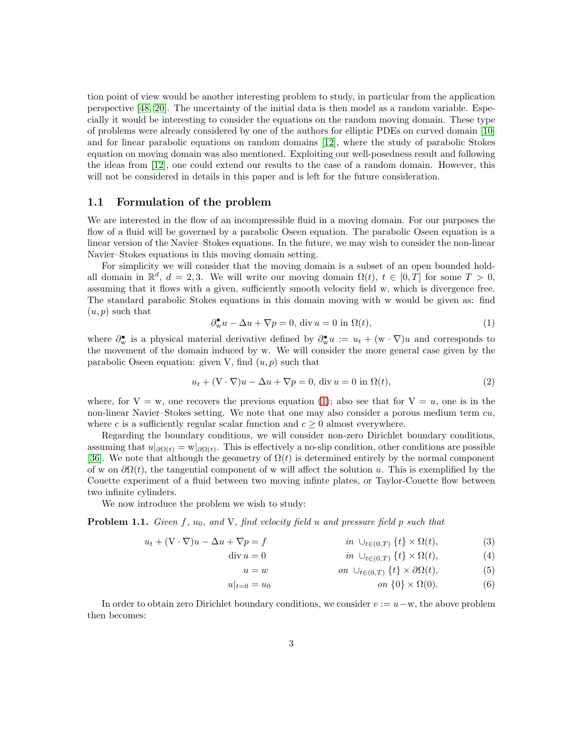tion point of view would be another interesting problem to study, in particular from the application perspective [\[48,](#page-28-9) [20\]](#page-26-9). The uncertainty of the initial data is then model as a random variable. Especially it would be interesting to consider the equations on the random moving domain. These type of problems were already considered by one of the authors for elliptic PDEs on curved domain [\[10\]](#page-26-10) and for linear parabolic equations on random domains [\[12\]](#page-26-7), where the study of parabolic Stokes equation on moving domain was also mentioned. Exploiting our well-posedness result and following the ideas from [\[12\]](#page-26-7), one could extend our results to the case of a random domain. However, this will not be considered in details in this paper and is left for the future consideration.

#### 1.1 Formulation of the problem

We are interested in the flow of an incompressible fluid in a moving domain. For our purposes the flow of a fluid will be governed by a parabolic Oseen equation. The parabolic Oseen equation is a linear version of the Navier–Stokes equations. In the future, we may wish to consider the non-linear Navier–Stokes equations in this moving domain setting.

For simplicity we will consider that the moving domain is a subset of an open bounded holdall domain in  $\mathbb{R}^d$ ,  $d = 2, 3$ . We will write our moving domain  $\Omega(t)$ ,  $t \in [0, T]$  for some  $T > 0$ , assuming that it flows with a given, sufficiently smooth velocity field w, which is divergence free. The standard parabolic Stokes equations in this domain moving with w would be given as: find  $(u, p)$  such that

<span id="page-2-0"></span>
$$
\partial_{\mathbf{w}}^{\bullet} u - \Delta u + \nabla p = 0, \text{ div } u = 0 \text{ in } \Omega(t), \tag{1}
$$

where  $\partial_w^{\bullet}$  is a physical material derivative defined by  $\partial_w^{\bullet} u := u_t + (w \cdot \nabla)u$  and corresponds to the movement of the domain induced by w. We will consider the more general case given by the parabolic Oseen equation: given V, find  $(u, p)$  such that

<span id="page-2-2"></span>
$$
u_t + (\mathbf{V} \cdot \nabla)u - \Delta u + \nabla p = 0, \text{ div } u = 0 \text{ in } \Omega(t), \tag{2}
$$

where, for  $V = w$ , one recovers the previous equation [\(1\)](#page-2-0); also see that for  $V = u$ , one is in the non-linear Navier–Stokes setting. We note that one may also consider a porous medium term  $cu$ , where c is a sufficiently regular scalar function and  $c \geq 0$  almost everywhere.

Regarding the boundary conditions, we will consider non-zero Dirichlet boundary conditions, assuming that  $u|_{\partial\Omega(t)} = w|_{\partial\Omega(t)}$ . This is effectively a no-slip condition, other conditions are possible [\[36\]](#page-27-13). We note that although the geometry of  $\Omega(t)$  is determined entirely by the normal component of w on  $\partial \Omega(t)$ , the tangential component of w will affect the solution u. This is exemplified by the Couette experiment of a fluid between two moving infinte plates, or Taylor-Couette flow between two infinite cylinders.

We now introduce the problem we wish to study:

<span id="page-2-1"></span>**Problem 1.1.** Given f,  $u_0$ , and V, find velocity field u and pressure field p such that

$$
u_t + (\mathbf{V} \cdot \nabla)u - \Delta u + \nabla p = f \qquad \qquad in \ \cup_{t \in (0,T)} \{t\} \times \Omega(t), \tag{3}
$$

$$
\operatorname{div} u = 0 \qquad \qquad \text{in} \quad \cup_{t \in (0,T)} \{t\} \times \Omega(t), \tag{4}
$$

$$
u = w \qquad \qquad on \ \cup_{t \in (0,T)} \{t\} \times \partial \Omega(t), \tag{5}
$$

$$
u|_{t=0} = u_0 \qquad \qquad on \ \{0\} \times \Omega(0). \tag{6}
$$

In order to obtain zero Dirichlet boundary conditions, we consider  $v := u - w$ , the above problem then becomes: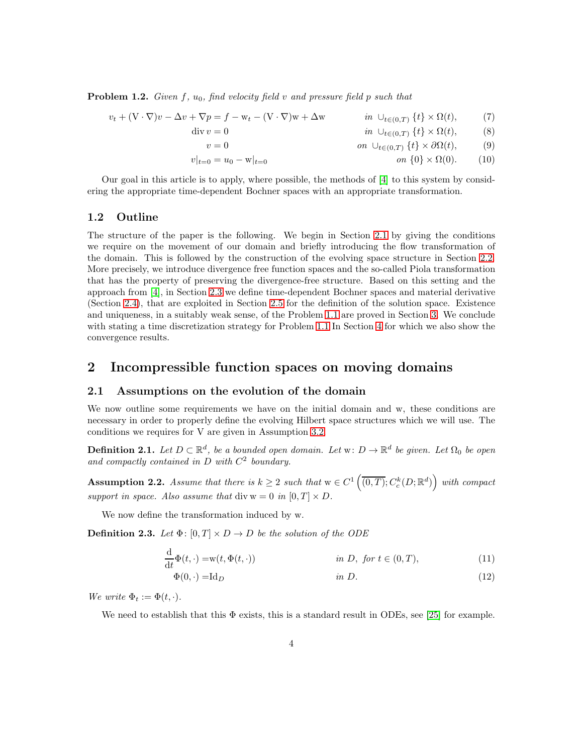<span id="page-3-2"></span>**Problem 1.2.** Given f,  $u_0$ , find velocity field v and pressure field p such that

$$
v_t + (\mathbf{V} \cdot \nabla)v - \Delta v + \nabla p = f - \mathbf{w}_t - (\mathbf{V} \cdot \nabla)\mathbf{w} + \Delta \mathbf{w} \qquad in \cup_{t \in (0,T)} \{t\} \times \Omega(t), \tag{7}
$$

$$
\operatorname{div} v = 0 \qquad \qquad \text{in} \quad \cup_{t \in (0,T)} \{t\} \times \Omega(t), \qquad (8)
$$

$$
v = 0 \qquad \qquad on \ \cup_{t \in (0,T)} \{t\} \times \partial \Omega(t), \tag{9}
$$

 $v|_{t=0} = u_0 - w|_{t=0}$  on  $\{0\} \times \Omega(0)$ . (10)

Our goal in this article is to apply, where possible, the methods of [\[4\]](#page-25-1) to this system by considering the appropriate time-dependent Bochner spaces with an appropriate transformation.

### 1.2 Outline

The structure of the paper is the following. We begin in Section [2.1](#page-3-0) by giving the conditions we require on the movement of our domain and briefly introducing the flow transformation of the domain. This is followed by the construction of the evolving space structure in Section [2.2.](#page-4-0) More precisely, we introduce divergence free function spaces and the so-called Piola transformation that has the property of preserving the divergence-free structure. Based on this setting and the approach from [\[4\]](#page-25-1), in Section [2.3](#page-8-0) we define time-dependent Bochner spaces and material derivative (Section [2.4\)](#page-8-1), that are exploited in Section [2.5](#page-11-0) for the definition of the solution space. Existence and uniqueness, in a suitably weak sense, of the Problem [1.1](#page-2-1) are proved in Section [3.](#page-14-0) We conclude with stating a time discretization strategy for Problem [1.1](#page-2-1) In Section [4](#page-18-0) for which we also show the convergence results.

# 2 Incompressible function spaces on moving domains

### <span id="page-3-0"></span>2.1 Assumptions on the evolution of the domain

We now outline some requirements we have on the initial domain and w, these conditions are necessary in order to properly define the evolving Hilbert space structures which we will use. The conditions we requires for V are given in Assumption [3.2.](#page-15-0)

**Definition 2.1.** Let  $D \subset \mathbb{R}^d$ , be a bounded open domain. Let  $w: D \to \mathbb{R}^d$  be given. Let  $\Omega_0$  be open and compactly contained in  $D$  with  $C^2$  boundary.

<span id="page-3-1"></span>**Assumption 2.2.** Assume that there is  $k \geq 2$  such that  $w \in C^1\left(\overline{(0,T)}; C^k_c(D;\mathbb{R}^d)\right)$  with compact support in space. Also assume that div  $w = 0$  in  $[0, T] \times D$ .

We now define the transformation induced by w.

**Definition 2.3.** Let  $\Phi$ :  $[0, T] \times D \rightarrow D$  be the solution of the ODE

$$
\frac{\mathrm{d}}{\mathrm{d}t}\Phi(t,\cdot) = \mathbf{w}(t,\Phi(t,\cdot)) \qquad \text{in } D, \text{ for } t \in (0,T), \tag{11}
$$

$$
\Phi(0, \cdot) = \mathrm{Id}_D \qquad \qquad \text{in } D. \tag{12}
$$

We write  $\Phi_t := \Phi(t, \cdot)$ .

We need to establish that this  $\Phi$  exists, this is a standard result in ODEs, see [\[25\]](#page-26-11) for example.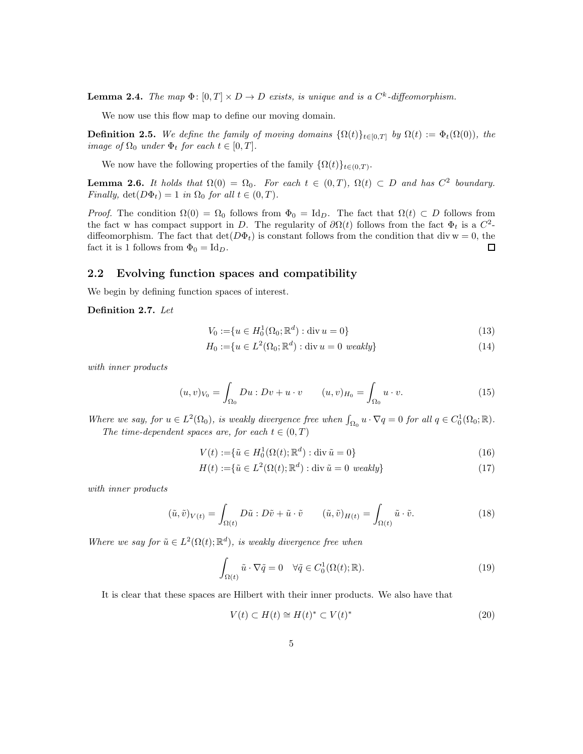<span id="page-4-1"></span>**Lemma 2.4.** The map  $\Phi$ :  $[0,T] \times D \to D$  exists, is unique and is a  $C^k$ -diffeomorphism.

We now use this flow map to define our moving domain.

**Definition 2.5.** We define the family of moving domains  $\{\Omega(t)\}_{t\in[0,T]}$  by  $\Omega(t) := \Phi_t(\Omega(0))$ , the image of  $\Omega_0$  under  $\Phi_t$  for each  $t \in [0, T]$ .

We now have the following properties of the family  $\{\Omega(t)\}_{t\in(0,T)}$ .

<span id="page-4-3"></span>**Lemma 2.6.** It holds that  $\Omega(0) = \Omega_0$ . For each  $t \in (0,T)$ ,  $\Omega(t) \subset D$  and has  $C^2$  boundary. Finally,  $det(D\Phi_t) = 1$  in  $\Omega_0$  for all  $t \in (0, T)$ .

*Proof.* The condition  $\Omega(0) = \Omega_0$  follows from  $\Phi_0 = \text{Id}_D$ . The fact that  $\Omega(t) \subset D$  follows from the fact w has compact support in D. The regularity of  $\partial \Omega(t)$  follows from the fact  $\Phi_t$  is a  $C^2$ diffeomorphism. The fact that  $\det(D\Phi_t)$  is constant follows from the condition that div w = 0, the fact it is 1 follows from  $\Phi_0 = \mathrm{Id}_D$ . П

### <span id="page-4-0"></span>2.2 Evolving function spaces and compatibility

We begin by defining function spaces of interest.

Definition 2.7. Let

$$
V_0 := \{ u \in H_0^1(\Omega_0; \mathbb{R}^d) : \text{div } u = 0 \}
$$
\n(13)

$$
H_0 := \{ u \in L^2(\Omega_0; \mathbb{R}^d) : \text{div } u = 0 \text{ weakly} \}
$$
\n
$$
(14)
$$

with inner products

$$
(u,v)_{V_0} = \int_{\Omega_0} Du : Dv + u \cdot v \qquad (u,v)_{H_0} = \int_{\Omega_0} u \cdot v. \tag{15}
$$

Where we say, for  $u \in L^2(\Omega_0)$ , is weakly divergence free when  $\int_{\Omega_0} u \cdot \nabla q = 0$  for all  $q \in C_0^1(\Omega_0; \mathbb{R})$ . The time-dependent spaces are, for each  $t \in (0, T)$ 

$$
V(t) := \{ \tilde{u} \in H_0^1(\Omega(t); \mathbb{R}^d) : \text{div } \tilde{u} = 0 \}
$$
\n(16)

$$
H(t) := \{ \tilde{u} \in L^2(\Omega(t); \mathbb{R}^d) : \text{div } \tilde{u} = 0 \text{ weakly} \}
$$
\n
$$
(17)
$$

with inner products

$$
(\tilde{u}, \tilde{v})_{V(t)} = \int_{\Omega(t)} D\tilde{u} : D\tilde{v} + \tilde{u} \cdot \tilde{v} \qquad (\tilde{u}, \tilde{v})_{H(t)} = \int_{\Omega(t)} \tilde{u} \cdot \tilde{v}.
$$
 (18)

Where we say for  $\tilde{u} \in L^2(\Omega(t); \mathbb{R}^d)$ , is weakly divergence free when

<span id="page-4-2"></span>
$$
\int_{\Omega(t)} \tilde{u} \cdot \nabla \tilde{q} = 0 \quad \forall \tilde{q} \in C_0^1(\Omega(t); \mathbb{R}).
$$
\n(19)

It is clear that these spaces are Hilbert with their inner products. We also have that

$$
V(t) \subset H(t) \cong H(t)^* \subset V(t)^* \tag{20}
$$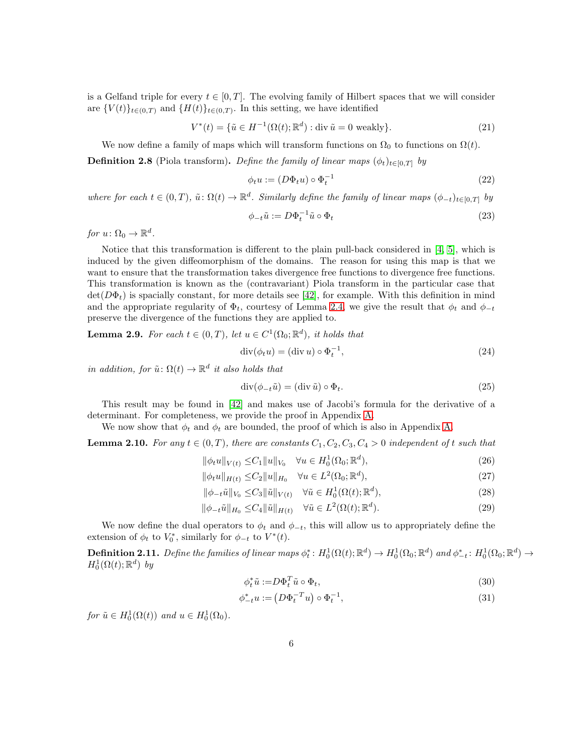is a Gelfand triple for every  $t \in [0, T]$ . The evolving family of Hilbert spaces that we will consider are  ${V(t)}_{t\in(0,T)}$  and  ${H(t)}_{t\in(0,T)}$ . In this setting, we have identified

$$
V^*(t) = \{ \tilde{u} \in H^{-1}(\Omega(t); \mathbb{R}^d) : \text{div } \tilde{u} = 0 \text{ weakly} \}. \tag{21}
$$

We now define a family of maps which will transform functions on  $\Omega_0$  to functions on  $\Omega(t)$ .

**Definition 2.8** (Piola transform). Define the family of linear maps  $(\phi_t)_{t\in[0,T]}$  by

$$
\phi_t u := (D\Phi_t u) \circ \Phi_t^{-1} \tag{22}
$$

where for each  $t \in (0,T)$ ,  $\tilde{u}: \Omega(t) \to \mathbb{R}^d$ . Similarly define the family of linear maps  $(\phi_{-t})_{t \in [0,T]}$  by

$$
\phi_{-t}\tilde{u} := D\Phi_t^{-1}\tilde{u} \circ \Phi_t \tag{23}
$$

for  $u \colon \Omega_0 \to \mathbb{R}^d$ .

Notice that this transformation is different to the plain pull-back considered in [\[4,](#page-25-1) [5\]](#page-25-2), which is induced by the given diffeomorphism of the domains. The reason for using this map is that we want to ensure that the transformation takes divergence free functions to divergence free functions. This transformation is known as the (contravariant) Piola transform in the particular case that  $\det(D\Phi_t)$  is spacially constant, for more details see [\[42\]](#page-28-10), for example. With this definition in mind and the appropriate regularity of  $\Phi_t$ , courtesy of Lemma [2.4,](#page-4-1) we give the result that  $\phi_t$  and  $\phi_{-t}$ preserve the divergence of the functions they are applied to.

<span id="page-5-1"></span>**Lemma 2.9.** For each  $t \in (0,T)$ , let  $u \in C^1(\Omega_0;\mathbb{R}^d)$ , it holds that

$$
\operatorname{div}(\phi_t u) = (\operatorname{div} u) \circ \Phi_t^{-1},\tag{24}
$$

in addition, for  $\tilde{u} \colon \Omega(t) \to \mathbb{R}^d$  it also holds that

$$
\operatorname{div}(\phi_{-t}\tilde{u}) = (\operatorname{div}\tilde{u}) \circ \Phi_t.
$$
\n(25)

This result may be found in [\[42\]](#page-28-10) and makes use of Jacobi's formula for the derivative of a determinant. For completeness, we provide the proof in Appendix [A.](#page-23-0)

We now show that  $\phi_t$  and  $\phi_t$  are bounded, the proof of which is also in Appendix [A.](#page-23-0)

<span id="page-5-0"></span>**Lemma 2.10.** For any  $t \in (0, T)$ , there are constants  $C_1, C_2, C_3, C_4 > 0$  independent of t such that

$$
\|\phi_t u\|_{V(t)} \le C_1 \|u\|_{V_0} \quad \forall u \in H_0^1(\Omega_0; \mathbb{R}^d),
$$
\n(26)

$$
\|\phi_t u\|_{H(t)} \le C_2 \|u\|_{H_0} \quad \forall u \in L^2(\Omega_0; \mathbb{R}^d),
$$
\n(27)

$$
\|\phi_{-t}\tilde{u}\|_{V_0} \leq C_3 \|\tilde{u}\|_{V(t)} \quad \forall \tilde{u} \in H_0^1(\Omega(t); \mathbb{R}^d),\tag{28}
$$

$$
\|\phi_{-t}\tilde{u}\|_{H_0} \le C_4 \|\tilde{u}\|_{H(t)} \quad \forall \tilde{u} \in L^2(\Omega(t); \mathbb{R}^d). \tag{29}
$$

We now define the dual operators to  $\phi_t$  and  $\phi_{-t}$ , this will allow us to appropriately define the extension of  $\phi_t$  to  $V_0^*$ , similarly for  $\phi_{-t}$  to  $V^*(t)$ .

**Definition 2.11.** Define the families of linear maps  $\phi_t^*: H_0^1(\Omega(t); \mathbb{R}^d) \to H_0^1(\Omega_0; \mathbb{R}^d)$  and  $\phi_{-t}^*: H_0^1(\Omega_0; \mathbb{R}^d) \to$  $H_0^1(\Omega(t); \mathbb{R}^d)$  by

$$
\phi_t^* \tilde{u} := D\Phi_t^T \tilde{u} \circ \Phi_t,\tag{30}
$$

$$
\phi_{-t}^* u := \left( D \Phi_t^{-T} u \right) \circ \Phi_t^{-1}, \tag{31}
$$

for  $\tilde{u} \in H_0^1(\Omega(t))$  and  $u \in H_0^1(\Omega_0)$ .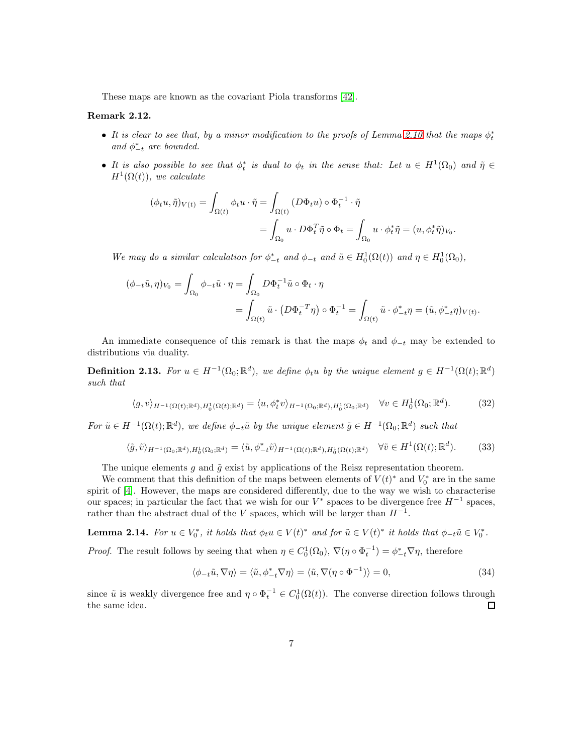These maps are known as the covariant Piola transforms [\[42\]](#page-28-10).

#### Remark 2.12.

- It is clear to see that, by a minor modification to the proofs of Lemma [2.10](#page-5-0) that the maps  $\phi_t^*$ and  $\phi_{-t}^*$  are bounded.
- It is also possible to see that  $\phi_t^*$  is dual to  $\phi_t$  in the sense that: Let  $u \in H^1(\Omega_0)$  and  $\tilde{\eta} \in$  $H^1(\Omega(t))$ , we calculate

$$
(\phi_t u, \tilde{\eta})_{V(t)} = \int_{\Omega(t)} \phi_t u \cdot \tilde{\eta} = \int_{\Omega(t)} (D\Phi_t u) \circ \Phi_t^{-1} \cdot \tilde{\eta}
$$
  
= 
$$
\int_{\Omega_0} u \cdot D\Phi_t^T \tilde{\eta} \circ \Phi_t = \int_{\Omega_0} u \cdot \phi_t^* \tilde{\eta} = (u, \phi_t^* \tilde{\eta})_{V_0}.
$$

We may do a similar calculation for  $\phi_{-t}^*$  and  $\phi_{-t}$  and  $\tilde{u} \in H_0^1(\Omega(t))$  and  $\eta \in H_0^1(\Omega_0)$ ,

$$
(\phi_{-t}\tilde{u},\eta)_{V_0} = \int_{\Omega_0} \phi_{-t}\tilde{u} \cdot \eta = \int_{\Omega_0} D\Phi_t^{-1}\tilde{u} \circ \Phi_t \cdot \eta
$$
  
= 
$$
\int_{\Omega(t)} \tilde{u} \cdot (D\Phi_t^{-T}\eta) \circ \Phi_t^{-1} = \int_{\Omega(t)} \tilde{u} \cdot \phi_{-t}^*\eta = (\tilde{u}, \phi_{-t}^*\eta)_{V(t)}.
$$

An immediate consequence of this remark is that the maps  $\phi_t$  and  $\phi_{-t}$  may be extended to distributions via duality.

<span id="page-6-0"></span>**Definition 2.13.** For  $u \in H^{-1}(\Omega_0; \mathbb{R}^d)$ , we define  $\phi_t u$  by the unique element  $g \in H^{-1}(\Omega(t); \mathbb{R}^d)$ such that

$$
\langle g, v \rangle_{H^{-1}(\Omega(t);\mathbb{R}^d), H_0^1(\Omega(t);\mathbb{R}^d)} = \langle u, \phi_t^* v \rangle_{H^{-1}(\Omega_0;\mathbb{R}^d), H_0^1(\Omega_0;\mathbb{R}^d)} \quad \forall v \in H_0^1(\Omega_0;\mathbb{R}^d). \tag{32}
$$

For  $\tilde{u} \in H^{-1}(\Omega(t); \mathbb{R}^d)$ , we define  $\phi_{-t}\tilde{u}$  by the unique element  $\tilde{g} \in H^{-1}(\Omega_0; \mathbb{R}^d)$  such that

$$
\langle \tilde{g}, \tilde{v} \rangle_{H^{-1}(\Omega_0; \mathbb{R}^d), H_0^1(\Omega_0; \mathbb{R}^d)} = \langle \tilde{u}, \phi^*_{-t} \tilde{v} \rangle_{H^{-1}(\Omega(t); \mathbb{R}^d), H_0^1(\Omega(t); \mathbb{R}^d)} \quad \forall \tilde{v} \in H^1(\Omega(t); \mathbb{R}^d). \tag{33}
$$

The unique elements  $g$  and  $\tilde{g}$  exist by applications of the Reisz representation theorem.

We comment that this definition of the maps between elements of  $V(t)^*$  and  $V_0^*$  are in the same spirit of [\[4\]](#page-25-1). However, the maps are considered differently, due to the way we wish to characterise our spaces; in particular the fact that we wish for our  $V^*$  spaces to be divergence free  $H^{-1}$  spaces, rather than the abstract dual of the V spaces, which will be larger than  $H^{-1}$ .

**Lemma 2.14.** For  $u \in V_0^*$ , it holds that  $\phi_t u \in V(t)^*$  and for  $\tilde{u} \in V(t)^*$  it holds that  $\phi_{-t}\tilde{u} \in V_0^*$ .

*Proof.* The result follows by seeing that when  $\eta \in C_0^1(\Omega_0)$ ,  $\nabla(\eta \circ \Phi_t^{-1}) = \phi_{-t}^* \nabla \eta$ , therefore

$$
\langle \phi_{-t}\tilde{u}, \nabla \eta \rangle = \langle \tilde{u}, \phi_{-t}^* \nabla \eta \rangle = \langle \tilde{u}, \nabla (\eta \circ \Phi^{-1}) \rangle = 0, \tag{34}
$$

since  $\tilde{u}$  is weakly divergence free and  $\eta \circ \Phi_t^{-1} \in C_0^1(\Omega(t))$ . The converse direction follows through the same idea.  $\Box$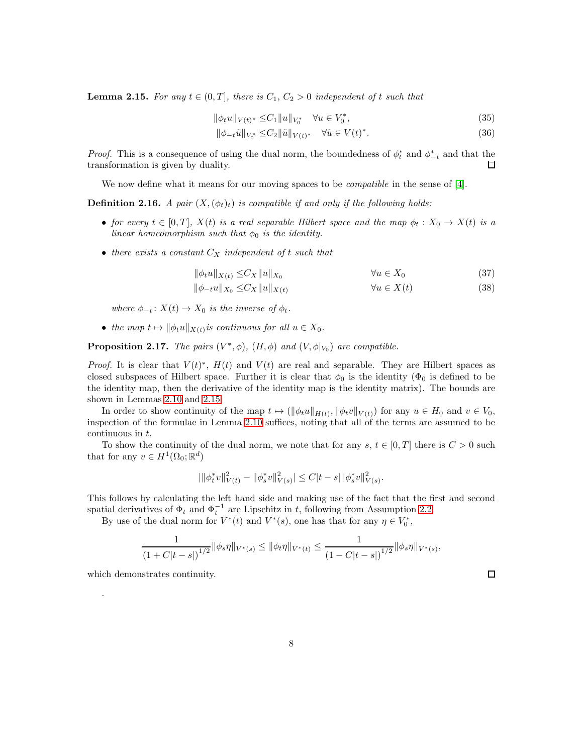<span id="page-7-0"></span>**Lemma 2.15.** For any  $t \in (0, T]$ , there is  $C_1, C_2 > 0$  independent of t such that

$$
\|\phi_t u\|_{V(t)^*} \leq C_1 \|u\|_{V_0^*} \quad \forall u \in V_0^*,
$$
\n(35)

$$
\|\phi_{-t}\tilde{u}\|_{V_0^*} \le C_2 \|\tilde{u}\|_{V(t)^*} \quad \forall \tilde{u} \in V(t)^*.
$$
 (36)

*Proof.* This is a consequence of using the dual norm, the boundedness of  $\phi_t^*$  and  $\phi_{-t}^*$  and that the transformation is given by duality.  $\Box$ 

We now define what it means for our moving spaces to be *compatible* in the sense of [\[4\]](#page-25-1).

**Definition 2.16.** A pair  $(X, (\phi_t)_t)$  is compatible if and only if the following holds:

- for every  $t \in [0, T]$ ,  $X(t)$  is a real separable Hilbert space and the map  $\phi_t : X_0 \to X(t)$  is a linear homeomorphism such that  $\phi_0$  is the identity.
- there exists a constant  $C_X$  independent of t such that

$$
\|\phi_t u\|_{X(t)} \leq C_X \|u\|_{X_0} \qquad \forall u \in X_0 \tag{37}
$$

$$
\|\phi_{-t}u\|_{X_0} \le C_X \|u\|_{X(t)} \qquad \forall u \in X(t) \tag{38}
$$

where  $\phi_{-t}$ :  $X(t) \rightarrow X_0$  is the inverse of  $\phi_t$ .

• the map  $t \mapsto ||\phi_t u||_{X(t)}$  is continuous for all  $u \in X_0$ .

<span id="page-7-1"></span>**Proposition 2.17.** The pairs  $(V^*, \phi)$ ,  $(H, \phi)$  and  $(V, \phi|_{V_0})$  are compatible.

*Proof.* It is clear that  $V(t)^*$ ,  $H(t)$  and  $V(t)$  are real and separable. They are Hilbert spaces as closed subspaces of Hilbert space. Further it is clear that  $\phi_0$  is the identity ( $\Phi_0$  is defined to be the identity map, then the derivative of the identity map is the identity matrix). The bounds are shown in Lemmas [2.10](#page-5-0) and [2.15](#page-7-0)

In order to show continuity of the map  $t \mapsto (\|\phi_t u\|_{H(t)}, \|\phi_t v\|_{V(t)})$  for any  $u \in H_0$  and  $v \in V_0$ , inspection of the formulae in Lemma [2.10](#page-5-0) suffices, noting that all of the terms are assumed to be continuous in t.

To show the continuity of the dual norm, we note that for any s,  $t \in [0, T]$  there is  $C > 0$  such that for any  $v \in H^1(\Omega_0; \mathbb{R}^d)$ 

$$
|\|\phi_t^* v\|_{V(t)}^2 - \|\phi_s^* v\|_{V(s)}^2| \le C|t-s|\|\phi_s^* v\|_{V(s)}^2.
$$

This follows by calculating the left hand side and making use of the fact that the first and second spatial derivatives of  $\Phi_t$  and  $\Phi_t^{-1}$  are Lipschitz in t, following from Assumption [2.2.](#page-3-1)

By use of the dual norm for  $V^*(t)$  and  $V^*(s)$ , one has that for any  $\eta \in V_0^*$ ,

$$
\frac{1}{(1+C|t-s|)^{1/2}}\|\phi_s\eta\|_{V^*(s)}\leq \|\phi_t\eta\|_{V^*(t)}\leq \frac{1}{(1-C|t-s|)^{1/2}}\|\phi_s\eta\|_{V^*(s)},
$$

which demonstrates continuity.

.

 $\Box$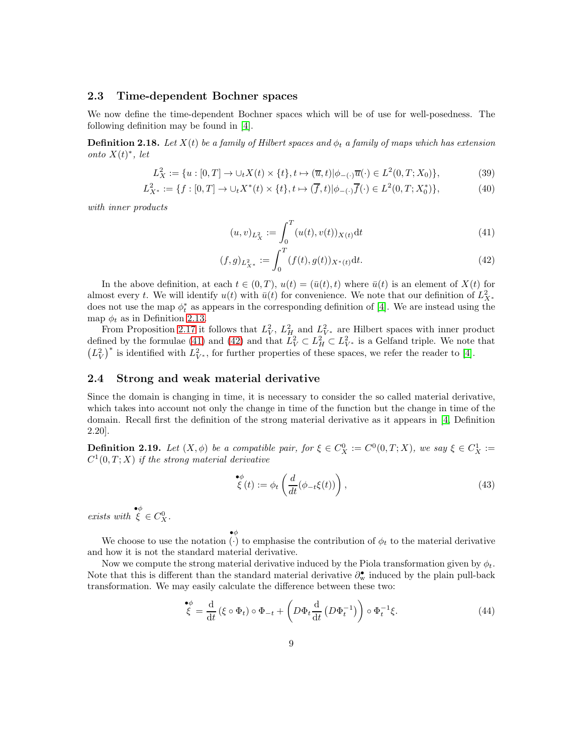### <span id="page-8-0"></span>2.3 Time-dependent Bochner spaces

We now define the time-dependent Bochner spaces which will be of use for well-posedness. The following definition may be found in [\[4\]](#page-25-1).

**Definition 2.18.** Let  $X(t)$  be a family of Hilbert spaces and  $\phi_t$  a family of maps which has extension onto  $X(t)^*$ , let

$$
L_X^2 := \{ u : [0, T] \to \cup_t X(t) \times \{t\}, t \mapsto (\overline{u}, t) | \phi_{-(\cdot)} \overline{u}(\cdot) \in L^2(0, T; X_0) \},
$$
(39)

$$
L_{X^*}^2 := \{ f : [0, T] \to \cup_t X^*(t) \times \{t\}, t \mapsto (\overline{f}, t) | \phi_{-}(\cdot) \overline{f}(\cdot) \in L^2(0, T; X_0^*) \},\tag{40}
$$

with inner products

<span id="page-8-3"></span><span id="page-8-2"></span>
$$
(u,v)_{L_X^2} := \int_0^T (u(t),v(t))_{X(t)} dt
$$
\n(41)

$$
(f,g)_{L_{X^*}^2} := \int_0^T (f(t),g(t))_{X^*(t)} \mathrm{d}t. \tag{42}
$$

In the above definition, at each  $t \in (0, T)$ ,  $u(t) = (\bar{u}(t), t)$  where  $\bar{u}(t)$  is an element of  $X(t)$  for almost every t. We will identify  $u(t)$  with  $\bar{u}(t)$  for convenience. We note that our definition of  $L_{X^*}^2$ does not use the map  $\phi_t^*$  as appears in the corresponding definition of [\[4\]](#page-25-1). We are instead using the map  $\phi_t$  as in Definition [2.13.](#page-6-0)

From Proposition [2.17](#page-7-1) it follows that  $L_V^2$ ,  $L_H^2$  and  $L_{V^*}^2$  are Hilbert spaces with inner product defined by the formulae [\(41\)](#page-8-2) and [\(42\)](#page-8-3) and that  $L_V^2 \subset L_H^2 \subset L_{V^*}^2$  is a Gelfand triple. We note that  $(L_V^2)^*$  is identified with  $L_{V^*}^2$ , for further properties of these spaces, we refer the reader to [\[4\]](#page-25-1).

### <span id="page-8-1"></span>2.4 Strong and weak material derivative

Since the domain is changing in time, it is necessary to consider the so called material derivative, which takes into account not only the change in time of the function but the change in time of the domain. Recall first the definition of the strong material derivative as it appears in [\[4,](#page-25-1) Definition 2.20].

**Definition 2.19.** Let  $(X, \phi)$  be a compatible pair, for  $\xi \in C_X^0 := C^0(0,T;X)$ , we say  $\xi \in C_X^1 :=$  $C^1(0,T;X)$  if the strong material derivative

$$
\stackrel{\bullet\phi}{\xi}(t) := \phi_t \left( \frac{d}{dt} (\phi_{-t} \xi(t)) \right), \tag{43}
$$

exists with  $\begin{aligned} \mathbf{e}^{\phi} \\ \xi \in C_{X}^{0} \end{aligned}$ .

We choose to use the notation ( $\cdot$ ) to emphasise the contribution of  $\phi_t$  to the material derivative  $\bullet \phi$ and how it is not the standard material derivative.

Now we compute the strong material derivative induced by the Piola transformation given by  $\phi_t$ . Note that this is different than the standard material derivative  $\partial_{w}^{\bullet}$  induced by the plain pull-back transformation. We may easily calculate the difference between these two:

<span id="page-8-4"></span>
$$
\stackrel{\bullet \phi}{\xi} = \frac{\mathrm{d}}{\mathrm{d}t} \left( \xi \circ \Phi_t \right) \circ \Phi_{-t} + \left( D \Phi_t \frac{\mathrm{d}}{\mathrm{d}t} \left( D \Phi_t^{-1} \right) \right) \circ \Phi_t^{-1} \xi. \tag{44}
$$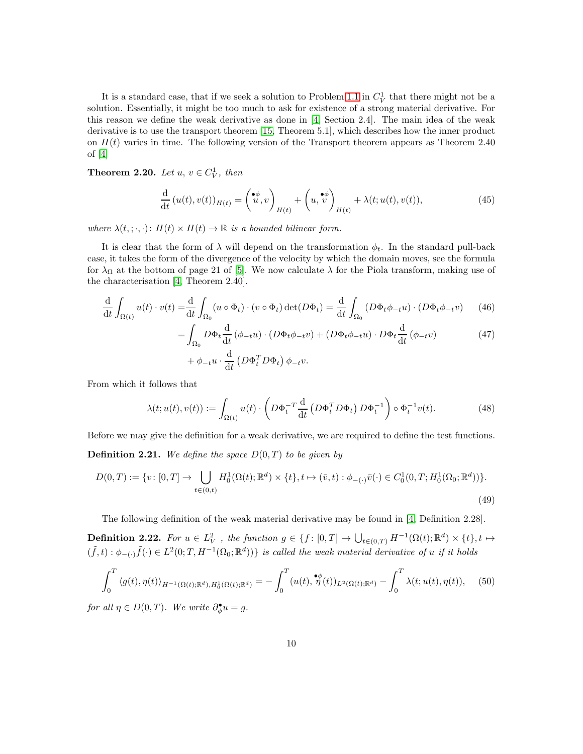It is a standard case, that if we seek a solution to Problem [1.1](#page-2-1) in  $C_V^1$  that there might not be a solution. Essentially, it might be too much to ask for existence of a strong material derivative. For this reason we define the weak derivative as done in [\[4,](#page-25-1) Section 2.4]. The main idea of the weak derivative is to use the transport theorem [\[15,](#page-26-12) Theorem 5.1], which describes how the inner product on  $H(t)$  varies in time. The following version of the Transport theorem appears as Theorem 2.40 of  $[4]$ 

**Theorem 2.20.** Let  $u, v \in C_V^1$ , then

$$
\frac{\mathrm{d}}{\mathrm{d}t}\left(u(t),v(t)\right)_{H(t)} = \left(\begin{matrix} \bullet\phi\\ u,v \end{matrix}\right)_{H(t)} + \left(u,\stackrel{\bullet\phi}{v}\right)_{H(t)} + \lambda(t;u(t),v(t)),\tag{45}
$$

where  $\lambda(t, \cdot, \cdot)$ :  $H(t) \times H(t) \to \mathbb{R}$  is a bounded bilinear form.

It is clear that the form of  $\lambda$  will depend on the transformation  $\phi_t$ . In the standard pull-back case, it takes the form of the divergence of the velocity by which the domain moves, see the formula for  $\lambda_{\Omega}$  at the bottom of page 21 of [\[5\]](#page-25-2). We now calculate  $\lambda$  for the Piola transform, making use of the characterisation [\[4,](#page-25-1) Theorem 2.40].

$$
\frac{\mathrm{d}}{\mathrm{d}t} \int_{\Omega(t)} u(t) \cdot v(t) = \frac{\mathrm{d}}{\mathrm{d}t} \int_{\Omega_0} (u \circ \Phi_t) \cdot (v \circ \Phi_t) \det(D\Phi_t) = \frac{\mathrm{d}}{\mathrm{d}t} \int_{\Omega_0} (D\Phi_t \phi_{-t} u) \cdot (D\Phi_t \phi_{-t} v) \tag{46}
$$

$$
= \int_{\Omega_0} D\Phi_t \frac{d}{dt} (\phi_{-t}u) \cdot (D\Phi_t \phi_{-t}v) + (D\Phi_t \phi_{-t}u) \cdot D\Phi_t \frac{d}{dt} (\phi_{-t}v)
$$
  
+  $\phi_{-t}u \cdot \frac{d}{dt} (D\Phi_t^T D\Phi_t) \phi_{-t}v.$  (47)

From which it follows that

<span id="page-9-1"></span>
$$
\lambda(t; u(t), v(t)) := \int_{\Omega(t)} u(t) \cdot \left( D \Phi_t^{-T} \frac{d}{dt} \left( D \Phi_t^T D \Phi_t \right) D \Phi_t^{-1} \right) \circ \Phi_t^{-1} v(t). \tag{48}
$$

Before we may give the definition for a weak derivative, we are required to define the test functions. **Definition 2.21.** We define the space  $D(0,T)$  to be given by

$$
D(0,T) := \{v \colon [0,T] \to \bigcup_{t \in (0,t)} H_0^1(\Omega(t); \mathbb{R}^d) \times \{t\}, t \mapsto (\bar{v},t) : \phi_{-(\cdot)}\bar{v}(\cdot) \in C_0^1(0,T; H_0^1(\Omega_0; \mathbb{R}^d))\}.
$$
\n(49)

The following definition of the weak material derivative may be found in [\[4,](#page-25-1) Definition 2.28].

**Definition 2.22.** For  $u \in L^2_V$ , the function  $g \in \{f : [0,T] \to \bigcup_{t \in (0,T)} H^{-1}(\Omega(t); \mathbb{R}^d) \times \{t\}, t \mapsto$  $(\tilde{f},t):\phi_{-(\cdot)}\tilde{f}(\cdot)\in L^2(0;T,H^{-1}(\Omega_0;\mathbb{R}^d))\}$  is called the weak material derivative of u if it holds

<span id="page-9-0"></span>
$$
\int_0^T \langle g(t), \eta(t) \rangle_{H^{-1}(\Omega(t); \mathbb{R}^d), H_0^1(\Omega(t); \mathbb{R}^d)} = -\int_0^T (u(t), \stackrel{\bullet}{\eta}(t))_{L^2(\Omega(t); \mathbb{R}^d)} - \int_0^T \lambda(t; u(t), \eta(t)), \quad (50)
$$

for all  $\eta \in D(0,T)$ . We write  $\partial_{\phi}^{\bullet}u = g$ .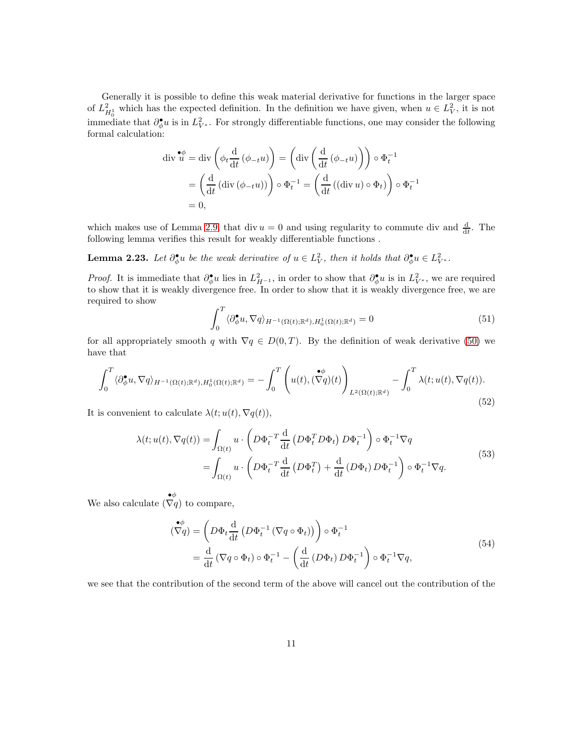Generally it is possible to define this weak material derivative for functions in the larger space of  $L_{H_0^1}^2$  which has the expected definition. In the definition we have given, when  $u \in L_V^2$ , it is not immediate that  $\partial_{\phi}^{\bullet}u$  is in  $L^2_{V^*}$ . For strongly differentiable functions, one may consider the following formal calculation:

$$
\operatorname{div} \mathbf{u} \bullet \mathbf{u} = \operatorname{div} \left( \phi_t \frac{d}{dt} (\phi_{-t} u) \right) = \left( \operatorname{div} \left( \frac{d}{dt} (\phi_{-t} u) \right) \right) \circ \Phi_t^{-1}
$$
\n
$$
= \left( \frac{d}{dt} (\operatorname{div} (\phi_{-t} u)) \right) \circ \Phi_t^{-1} = \left( \frac{d}{dt} ((\operatorname{div} u) \circ \Phi_t) \right) \circ \Phi_t^{-1}
$$
\n
$$
= 0,
$$

which makes use of Lemma [2.9,](#page-5-1) that div  $u = 0$  and using regularity to commute div and  $\frac{d}{dt}$ . The following lemma verifies this result for weakly differentiable functions .

**Lemma 2.23.** Let  $\partial_{\phi}^{\bullet}u$  be the weak derivative of  $u \in L^2_V$ , then it holds that  $\partial_{\phi}^{\bullet}u \in L^2_{V^*}$ .

*Proof.* It is immediate that  $\partial_{\phi}^{\bullet}u$  lies in  $L_{H^{-1}}^2$ , in order to show that  $\partial_{\phi}^{\bullet}u$  is in  $L_{V^*}^2$ , we are required to show that it is weakly divergence free. In order to show that it is weakly divergence free, we are required to show

$$
\int_0^T \langle \partial_{\phi}^{\bullet} u, \nabla q \rangle_{H^{-1}(\Omega(t); \mathbb{R}^d), H_0^1(\Omega(t); \mathbb{R}^d)} = 0 \tag{51}
$$

for all appropriately smooth q with  $\nabla q \in D(0,T)$ . By the definition of weak derivative [\(50\)](#page-9-0) we have that

$$
\int_0^T \langle \partial_{\phi}^{\bullet} u, \nabla q \rangle_{H^{-1}(\Omega(t); \mathbb{R}^d), H_0^1(\Omega(t); \mathbb{R}^d)} = -\int_0^T \left( u(t), (\nabla q)(t) \right)_{L^2(\Omega(t); \mathbb{R}^d)} - \int_0^T \lambda(t; u(t), \nabla q(t)).
$$
\n(52)

<span id="page-10-0"></span>It is convenient to calculate  $\lambda(t; u(t), \nabla q(t)),$ 

$$
\lambda(t; u(t), \nabla q(t)) = \int_{\Omega(t)} u \cdot \left( D \Phi_t^{-T} \frac{d}{dt} \left( D \Phi_t^{T} D \Phi_t \right) D \Phi_t^{-1} \right) \circ \Phi_t^{-1} \nabla q
$$
\n
$$
= \int_{\Omega(t)} u \cdot \left( D \Phi_t^{-T} \frac{d}{dt} \left( D \Phi_t^{T} \right) + \frac{d}{dt} \left( D \Phi_t \right) D \Phi_t^{-1} \right) \circ \Phi_t^{-1} \nabla q. \tag{53}
$$

We also calculate  $(\nabla q)$  to compare,

$$
\begin{split} \left(\nabla q\right) &= \left(D\Phi_t \frac{\mathrm{d}}{\mathrm{d}t} \left(D\Phi_t^{-1} \left(\nabla q \circ \Phi_t\right)\right)\right) \circ \Phi_t^{-1} \\ &= \frac{\mathrm{d}}{\mathrm{d}t} \left(\nabla q \circ \Phi_t\right) \circ \Phi_t^{-1} - \left(\frac{\mathrm{d}}{\mathrm{d}t} \left(D\Phi_t\right) D\Phi_t^{-1}\right) \circ \Phi_t^{-1} \nabla q, \end{split} \tag{54}
$$

<span id="page-10-1"></span>we see that the contribution of the second term of the above will cancel out the contribution of the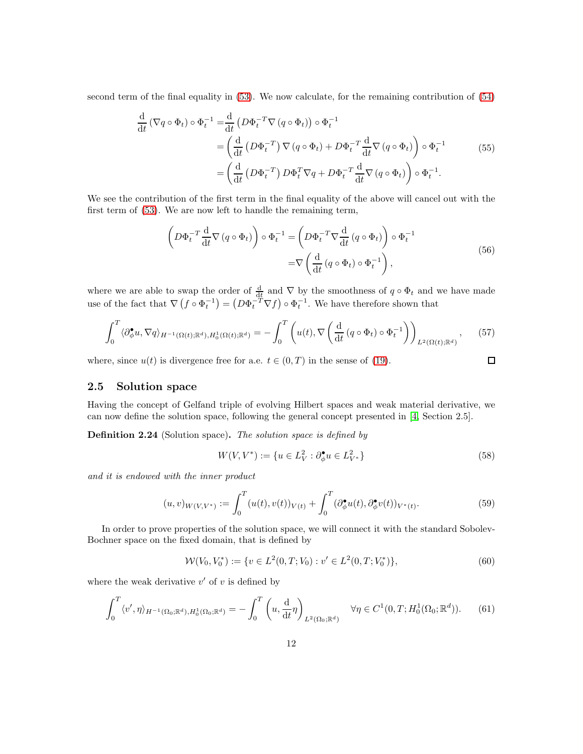second term of the final equality in [\(53\)](#page-10-0). We now calculate, for the remaining contribution of [\(54\)](#page-10-1)

$$
\frac{\mathrm{d}}{\mathrm{d}t} \left( \nabla q \circ \Phi_t \right) \circ \Phi_t^{-1} = \frac{\mathrm{d}}{\mathrm{d}t} \left( D \Phi_t^{-T} \nabla \left( q \circ \Phi_t \right) \right) \circ \Phi_t^{-1}
$$
\n
$$
= \left( \frac{\mathrm{d}}{\mathrm{d}t} \left( D \Phi_t^{-T} \right) \nabla \left( q \circ \Phi_t \right) + D \Phi_t^{-T} \frac{\mathrm{d}}{\mathrm{d}t} \nabla \left( q \circ \Phi_t \right) \right) \circ \Phi_t^{-1} \tag{55}
$$
\n
$$
= \left( \frac{\mathrm{d}}{\mathrm{d}t} \left( D \Phi_t^{-T} \right) D \Phi_t^{T} \nabla q + D \Phi_t^{-T} \frac{\mathrm{d}}{\mathrm{d}t} \nabla \left( q \circ \Phi_t \right) \right) \circ \Phi_t^{-1}.
$$

We see the contribution of the first term in the final equality of the above will cancel out with the first term of [\(53\)](#page-10-0). We are now left to handle the remaining term,

$$
\left(D\Phi_t^{-T}\frac{d}{dt}\nabla(q\circ\Phi_t)\right)\circ\Phi_t^{-1} = \left(D\Phi_t^{-T}\nabla\frac{d}{dt}(q\circ\Phi_t)\right)\circ\Phi_t^{-1}
$$

$$
=\nabla\left(\frac{d}{dt}(q\circ\Phi_t)\circ\Phi_t^{-1}\right),\tag{56}
$$

where we are able to swap the order of  $\frac{d}{dt}$  and  $\nabla$  by the smoothness of  $q \circ \Phi_t$  and we have made use of the fact that  $\nabla (f \circ \Phi_t^{-1}) = (D\Phi_t^{-T} \nabla f) \circ \Phi_t^{-1}$ . We have therefore shown that

$$
\int_0^T \langle \partial_{\phi}^{\bullet} u, \nabla q \rangle_{H^{-1}(\Omega(t); \mathbb{R}^d), H_0^1(\Omega(t); \mathbb{R}^d)} = -\int_0^T \left( u(t), \nabla \left( \frac{\mathrm{d}}{\mathrm{d}t} \left( q \circ \Phi_t \right) \circ \Phi_t^{-1} \right) \right)_{L^2(\Omega(t); \mathbb{R}^d)},\tag{57}
$$

where, since  $u(t)$  is divergence free for a.e.  $t \in (0, T)$  in the sense of [\(19\)](#page-4-2).

### <span id="page-11-0"></span>2.5 Solution space

Having the concept of Gelfand triple of evolving Hilbert spaces and weak material derivative, we can now define the solution space, following the general concept presented in [\[4,](#page-25-1) Section 2.5].

Definition 2.24 (Solution space). The solution space is defined by

$$
W(V, V^*) := \{ u \in L^2_V : \partial_{\phi}^{\bullet} u \in L^2_{V^*} \}
$$
\n
$$
(58)
$$

 $\Box$ 

and it is endowed with the inner product

<span id="page-11-2"></span>
$$
(u,v)_{W(V,V^*)} := \int_0^T (u(t),v(t))_{V(t)} + \int_0^T (\partial_{\phi}^{\bullet} u(t), \partial_{\phi}^{\bullet} v(t))_{V^*(t)}.
$$
\n(59)

In order to prove properties of the solution space, we will connect it with the standard Sobolev-Bochner space on the fixed domain, that is defined by

$$
\mathcal{W}(V_0, V_0^*) := \{ v \in L^2(0, T; V_0) : v' \in L^2(0, T; V_0^*) \},\tag{60}
$$

where the weak derivative  $v'$  of  $v$  is defined by

<span id="page-11-1"></span>
$$
\int_0^T \langle v', \eta \rangle_{H^{-1}(\Omega_0; \mathbb{R}^d), H_0^1(\Omega_0; \mathbb{R}^d)} = -\int_0^T \left( u, \frac{d}{dt} \eta \right)_{L^2(\Omega_0; \mathbb{R}^d)} \quad \forall \eta \in C^1(0, T; H_0^1(\Omega_0; \mathbb{R}^d)).
$$
 (61)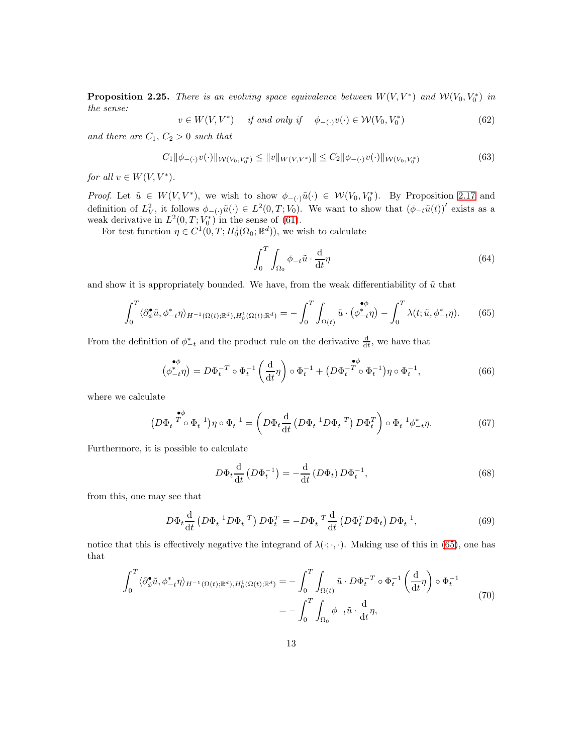<span id="page-12-1"></span>**Proposition 2.25.** There is an evolving space equivalence between  $W(V, V^*)$  and  $W(V_0, V_0^*)$  in the sense:

$$
v \in W(V, V^*) \quad \text{if and only if} \quad \phi_{-(\cdot)}v(\cdot) \in \mathcal{W}(V_0, V_0^*)
$$
\n
$$
(62)
$$

and there are  $C_1, C_2 > 0$  such that

$$
C_1 \|\phi_{-(\cdot)} v(\cdot)\|_{\mathcal{W}(V_0, V_0^*)} \le \|v\|_{W(V, V^*)} \|\le C_2 \|\phi_{-(\cdot)} v(\cdot)\|_{\mathcal{W}(V_0, V_0^*)}
$$
(63)

for all  $v \in W(V, V^*)$ .

*Proof.* Let  $\tilde{u} \in W(V, V^*)$ , we wish to show  $\phi_{-(\cdot)}\tilde{u}(\cdot) \in W(V_0, V_0^*)$ . By Proposition [2.17](#page-7-1) and definition of  $L^2_V$ , it follows  $\phi_{-(\cdot)}\tilde{u}(\cdot) \in L^2(0,T;V_0)$ . We want to show that  $(\phi_{-t}\tilde{u}(t))'$  exists as a weak derivative in  $L^2(0,T;V_0^*)$  in the sense of [\(61\)](#page-11-1).

For test function  $\eta \in C^1(0,T; H_0^1(\Omega_0;\mathbb{R}^d))$ , we wish to calculate

$$
\int_0^T \int_{\Omega_0} \phi_{-t} \tilde{u} \cdot \frac{d}{dt} \eta \tag{64}
$$

and show it is appropriately bounded. We have, from the weak differentiability of  $\tilde{u}$  that

<span id="page-12-0"></span>
$$
\int_0^T \langle \partial_{\phi}^{\bullet} \tilde{u}, \phi_{-t}^* \eta \rangle_{H^{-1}(\Omega(t); \mathbb{R}^d), H_0^1(\Omega(t); \mathbb{R}^d)} = -\int_0^T \int_{\Omega(t)} \tilde{u} \cdot (\phi_{-t}^{\bullet \phi} \eta) - \int_0^T \lambda(t; \tilde{u}, \phi_{-t}^* \eta). \tag{65}
$$

From the definition of  $\phi_{-t}^*$  and the product rule on the derivative  $\frac{d}{dt}$ , we have that

$$
\begin{aligned}\n\phi_{-t}^{\phi} \eta &= D \Phi_t^{-T} \circ \Phi_t^{-1} \left( \frac{\mathrm{d}}{\mathrm{d}t} \eta \right) \circ \Phi_t^{-1} + \left( D \Phi_t^{-T} \circ \Phi_t^{-1} \right) \eta \circ \Phi_t^{-1},\n\end{aligned} \tag{66}
$$

where we calculate

$$
\left(D\Phi_t^{-T}\circ\Phi_t^{-1}\right)\eta\circ\Phi_t^{-1} = \left(D\Phi_t\frac{\mathrm{d}}{\mathrm{d}t}\left(D\Phi_t^{-1}D\Phi_t^{-T}\right)D\Phi_t^{T}\right)\circ\Phi_t^{-1}\phi_{-t}^*\eta. \tag{67}
$$

Furthermore, it is possible to calculate

$$
D\Phi_t \frac{\mathrm{d}}{\mathrm{d}t} \left( D\Phi_t^{-1} \right) = -\frac{\mathrm{d}}{\mathrm{d}t} \left( D\Phi_t \right) D\Phi_t^{-1},\tag{68}
$$

from this, one may see that

$$
D\Phi_t \frac{\mathrm{d}}{\mathrm{d}t} \left( D\Phi_t^{-1} D\Phi_t^{-T} \right) D\Phi_t^T = -D\Phi_t^{-T} \frac{\mathrm{d}}{\mathrm{d}t} \left( D\Phi_t^T D\Phi_t \right) D\Phi_t^{-1},\tag{69}
$$

notice that this is effectively negative the integrand of  $\lambda(\cdot;\cdot,\cdot)$ . Making use of this in [\(65\)](#page-12-0), one has that

$$
\int_0^T \langle \partial_{\phi}^{\bullet} \tilde{u}, \phi_{-t}^* \eta \rangle_{H^{-1}(\Omega(t); \mathbb{R}^d), H_0^1(\Omega(t); \mathbb{R}^d)} = -\int_0^T \int_{\Omega(t)} \tilde{u} \cdot D\Phi_t^{-T} \circ \Phi_t^{-1} \left(\frac{d}{dt} \eta\right) \circ \Phi_t^{-1}
$$
\n
$$
= -\int_0^T \int_{\Omega_0} \phi_{-t} \tilde{u} \cdot \frac{d}{dt} \eta,
$$
\n(70)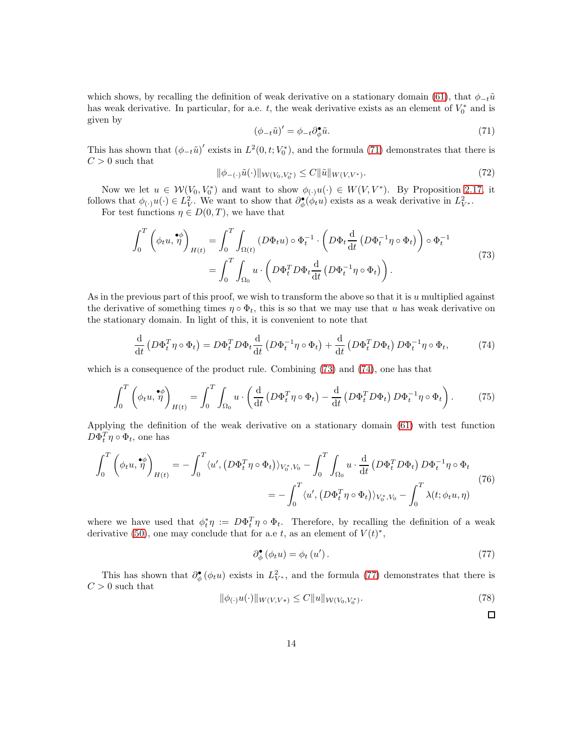which shows, by recalling the definition of weak derivative on a stationary domain [\(61\)](#page-11-1), that  $\phi_{-t}\tilde{u}$ has weak derivative. In particular, for a.e. t, the weak derivative exists as an element of  $V_0^*$  and is given by

<span id="page-13-0"></span>
$$
\left(\phi_{-t}\tilde{u}\right)' = \phi_{-t}\partial_{\phi}^{\bullet}\tilde{u}.\tag{71}
$$

This has shown that  $(\phi_{-t}\tilde{u})'$  exists in  $L^2(0,t;V_0^*)$ , and the formula [\(71\)](#page-13-0) demonstrates that there is  $C > 0$  such that

$$
\|\phi_{-(\cdot)}\tilde{u}(\cdot)\|_{\mathcal{W}(V_0, V_0^*)} \le C \|\tilde{u}\|_{W(V, V^*)}.
$$
\n(72)

Now we let  $u \in \mathcal{W}(V_0, V_0^*)$  and want to show  $\phi_{(\cdot)}u(\cdot) \in W(V, V^*)$ . By Proposition [2.17,](#page-7-1) it follows that  $\phi(\cdot)u(\cdot) \in L^2_V$ . We want to show that  $\partial_{\phi}^{\bullet}(\phi_t u)$  exists as a weak derivative in  $L^2_{V^*}$ .

For test functions  $\eta \in D(0,T)$ , we have that

$$
\int_0^T \left( \phi_t u, \stackrel{\bullet \phi}{\eta} \right)_{H(t)} = \int_0^T \int_{\Omega(t)} \left( D\Phi_t u \right) \circ \Phi_t^{-1} \cdot \left( D\Phi_t \frac{d}{dt} \left( D\Phi_t^{-1} \eta \circ \Phi_t \right) \right) \circ \Phi_t^{-1}
$$
\n
$$
= \int_0^T \int_{\Omega_0} u \cdot \left( D\Phi_t^T D\Phi_t \frac{d}{dt} \left( D\Phi_t^{-1} \eta \circ \Phi_t \right) \right). \tag{73}
$$

<span id="page-13-1"></span>As in the previous part of this proof, we wish to transform the above so that it is  $u$  multiplied against the derivative of something times  $\eta \circ \Phi_t$ , this is so that we may use that u has weak derivative on the stationary domain. In light of this, it is convenient to note that

<span id="page-13-2"></span>
$$
\frac{\mathrm{d}}{\mathrm{d}t} \left( D\Phi_t^T \eta \circ \Phi_t \right) = D\Phi_t^T D\Phi_t \frac{\mathrm{d}}{\mathrm{d}t} \left( D\Phi_t^{-1} \eta \circ \Phi_t \right) + \frac{\mathrm{d}}{\mathrm{d}t} \left( D\Phi_t^T D\Phi_t \right) D\Phi_t^{-1} \eta \circ \Phi_t,\tag{74}
$$

which is a consequence of the product rule. Combining [\(73\)](#page-13-1) and [\(74\)](#page-13-2), one has that

$$
\int_0^T \left( \phi_t u, \stackrel{\bullet \phi}{\eta} \right)_{H(t)} = \int_0^T \int_{\Omega_0} u \cdot \left( \frac{\mathrm{d}}{\mathrm{d}t} \left( D \Phi_t^T \eta \circ \Phi_t \right) - \frac{\mathrm{d}}{\mathrm{d}t} \left( D \Phi_t^T D \Phi_t \right) D \Phi_t^{-1} \eta \circ \Phi_t \right). \tag{75}
$$

Applying the definition of the weak derivative on a stationary domain [\(61\)](#page-11-1) with test function  $D\Phi_t^T \eta \circ \Phi_t$ , one has

$$
\int_0^T \left( \phi_t u, \stackrel{\bullet \phi}{\eta} \right)_{H(t)} = - \int_0^T \langle u', (D\Phi_t^T \eta \circ \Phi_t) \rangle_{V_0^*, V_0} - \int_0^T \int_{\Omega_0} u \cdot \frac{d}{dt} (D\Phi_t^T D\Phi_t) D\Phi_t^{-1} \eta \circ \Phi_t
$$
\n
$$
= - \int_0^T \langle u', (D\Phi_t^T \eta \circ \Phi_t) \rangle_{V_0^*, V_0} - \int_0^T \lambda(t; \phi_t u, \eta)
$$
\n(76)

where we have used that  $\phi_t^* \eta := D \Phi_t^T \eta \circ \Phi_t$ . Therefore, by recalling the definition of a weak derivative [\(50\)](#page-9-0), one may conclude that for a.e t, as an element of  $V(t)^*$ ,

<span id="page-13-3"></span>
$$
\partial_{\phi}^{\bullet}(\phi_t u) = \phi_t(u'). \tag{77}
$$

This has shown that  $\partial_{\phi}^{\bullet}(\phi_t u)$  exists in  $L^2_{V^*}$ , and the formula [\(77\)](#page-13-3) demonstrates that there is  $C > 0$  such that

$$
\|\phi(\cdot)u(\cdot)\|_{W(V,V^*)} \le C \|u\|_{\mathcal{W}(V_0,V_0^*)}.\tag{78}
$$

□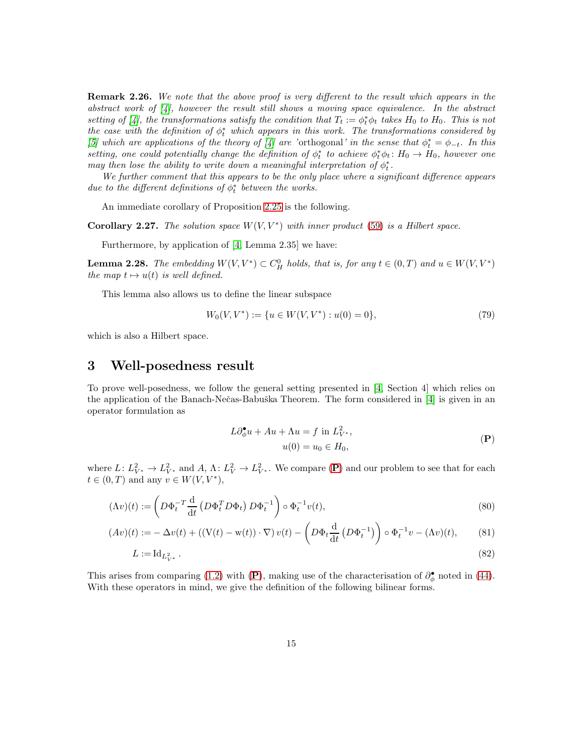**Remark 2.26.** We note that the above proof is very different to the result which appears in the abstract work of  $\vert 4 \vert$ , however the result still shows a moving space equivalence. In the abstract setting of [\[4\]](#page-25-1), the transformations satisfy the condition that  $T_t := \phi_t^* \phi_t$  takes  $H_0$  to  $H_0$ . This is not the case with the definition of  $\phi_t^*$  which appears in this work. The transformations considered by [\[5\]](#page-25-2) which are applications of the theory of [\[4\]](#page-25-1) are 'orthogonal' in the sense that  $\phi_t^* = \phi_{-t}$ . In this setting, one could potentially change the definition of  $\phi_t^*$  to achieve  $\phi_t^* \phi_t : H_0 \to H_0$ , however one may then lose the ability to write down a meaningful interpretation of  $\phi_t^*$ .

We further comment that this appears to be the only place where a significant difference appears due to the different definitions of  $\phi^*_t$  between the works.

An immediate corollary of Proposition [2.25](#page-12-1) is the following.

Corollary 2.27. The solution space  $W(V, V^*)$  with inner product [\(59\)](#page-11-2) is a Hilbert space.

Furthermore, by application of [\[4,](#page-25-1) Lemma 2.35] we have:

**Lemma 2.28.** The embedding  $W(V, V^*) \subset C_H^0$  holds, that is, for any  $t \in (0, T)$  and  $u \in W(V, V^*)$ the map  $t \mapsto u(t)$  is well defined.

This lemma also allows us to define the linear subspace

$$
W_0(V, V^*) := \{ u \in W(V, V^*) : u(0) = 0 \},\tag{79}
$$

<span id="page-14-0"></span>which is also a Hilbert space.

### 3 Well-posedness result

To prove well-posedness, we follow the general setting presented in [\[4,](#page-25-1) Section 4] which relies on the application of the Banach-Nečas-Babuška Theorem. The form considered in [\[4\]](#page-25-1) is given in an operator formulation as

<span id="page-14-1"></span>
$$
L\partial_{\phi}^{\bullet}u + Au + \Lambda u = f \text{ in } L^2_{V^*},
$$
  

$$
u(0) = u_0 \in H_0,
$$
 (P)

where  $L: L^2_{V^*} \to L^2_{V^*}$  and  $A, \Lambda: L^2_{V} \to L^2_{V^*}$ . We compare  $(\mathbf{P})$  $(\mathbf{P})$  $(\mathbf{P})$  and our problem to see that for each  $t \in (0, T)$  and any  $v \in W(V, V^*)$ ,

$$
(\Lambda v)(t) := \left( D\Phi_t^{-T} \frac{d}{dt} \left( D\Phi_t^T D\Phi_t \right) D\Phi_t^{-1} \right) \circ \Phi_t^{-1} v(t), \tag{80}
$$

$$
(Av)(t) := -\Delta v(t) + ((V(t) - w(t)) \cdot \nabla) v(t) - \left( D \Phi_t \frac{d}{dt} \left( D \Phi_t^{-1} \right) \right) \circ \Phi_t^{-1} v - (\Lambda v)(t), \tag{81}
$$

$$
L := \mathrm{Id}_{L^2_{V^*}} \,. \tag{82}
$$

This arises from comparing [\(1.2\)](#page-3-2) with ([P](#page-14-1)), making use of the characterisation of  $\partial_{\phi}^{\bullet}$  noted in [\(44\)](#page-8-4). With these operators in mind, we give the definition of the following bilinear forms.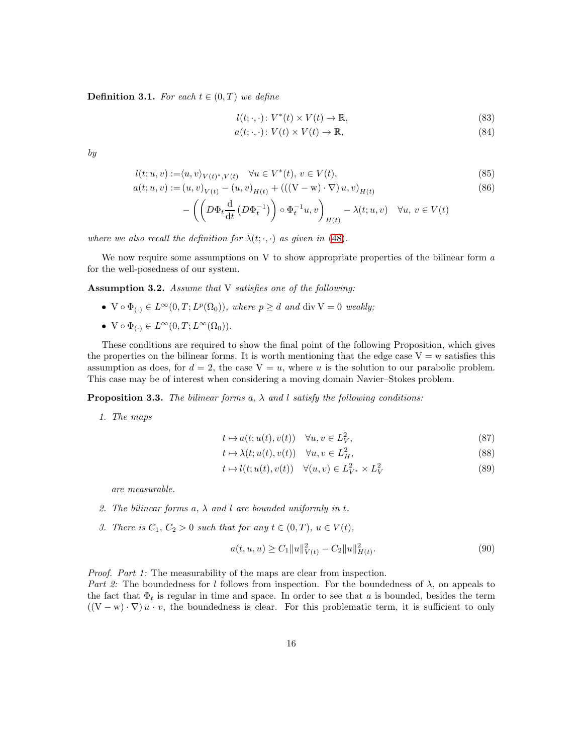**Definition 3.1.** For each  $t \in (0, T)$  we define

$$
l(t; \cdot, \cdot) \colon V^*(t) \times V(t) \to \mathbb{R},\tag{83}
$$

$$
a(t; \cdot, \cdot) \colon V(t) \times V(t) \to \mathbb{R},\tag{84}
$$

by

$$
l(t;u,v) := \langle u, v \rangle_{V(t)^*, V(t)} \quad \forall u \in V^*(t), v \in V(t), \tag{85}
$$

$$
a(t; u, v) := (u, v)_{V(t)} - (u, v)_{H(t)} + (((V - w) \cdot \nabla) u, v)_{H(t)}
$$
\n(86)

$$
-\left(\left(D\Phi_t\frac{\mathrm{d}}{\mathrm{d}t}\left(D\Phi_t^{-1}\right)\right)\circ\Phi_t^{-1}u,v\right)_{H(t)}-\lambda(t;u,v)\quad\forall u,v\in V(t)
$$

where we also recall the definition for  $\lambda(t; \cdot, \cdot)$  as given in [\(48\)](#page-9-1).

We now require some assumptions on V to show appropriate properties of the bilinear form  $\alpha$ for the well-posedness of our system.

<span id="page-15-0"></span>Assumption 3.2. Assume that V satisfies one of the following:

- $V \circ \Phi_{(\cdot)} \in L^{\infty}(0,T; L^p(\Omega_0)),$  where  $p \geq d$  and  $\text{div } V = 0$  weakly;
- $V \circ \Phi_{(.)} \in L^{\infty}(0,T; L^{\infty}(\Omega_0)).$

These conditions are required to show the final point of the following Proposition, which gives the properties on the bilinear forms. It is worth mentioning that the edge case  $V = w$  satisfies this assumption as does, for  $d = 2$ , the case  $V = u$ , where u is the solution to our parabolic problem. This case may be of interest when considering a moving domain Navier–Stokes problem.

<span id="page-15-2"></span>**Proposition 3.3.** The bilinear forms a,  $\lambda$  and l satisfy the following conditions:

1. The maps

$$
t \mapsto a(t; u(t), v(t)) \quad \forall u, v \in L^2_V,
$$
\n
$$
(87)
$$

$$
t \mapsto \lambda(t; u(t), v(t)) \quad \forall u, v \in L_H^2,
$$
\n
$$
(88)
$$

$$
t \mapsto l(t; u(t), v(t)) \quad \forall (u, v) \in L^2_{V^*} \times L^2_V \tag{89}
$$

are measurable.

- 2. The bilinear forms  $a, \lambda$  and l are bounded uniformly in t.
- 3. There is  $C_1, C_2 > 0$  such that for any  $t \in (0, T), u \in V(t)$ ,

<span id="page-15-1"></span>
$$
a(t, u, u) \ge C_1 \|u\|_{V(t)}^2 - C_2 \|u\|_{H(t)}^2.
$$
\n(90)

Proof. Part 1: The measurability of the maps are clear from inspection.

Part 2: The boundedness for l follows from inspection. For the boundedness of  $\lambda$ , on appeals to the fact that  $\Phi_t$  is regular in time and space. In order to see that a is bounded, besides the term  $((V – w) · ∇) u · v$ , the boundedness is clear. For this problematic term, it is sufficient to only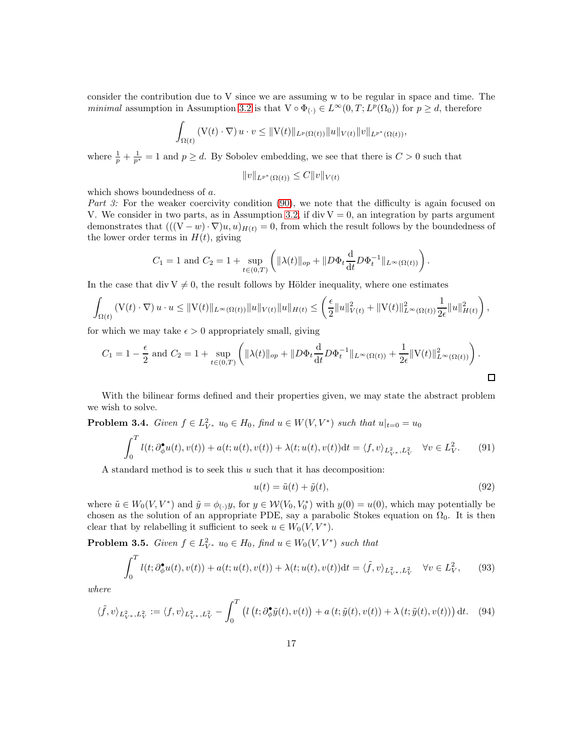consider the contribution due to V since we are assuming w to be regular in space and time. The minimal assumption in Assumption [3.2](#page-15-0) is that  $V \circ \Phi_{(\cdot)} \in L^{\infty}(0,T; L^p(\Omega_0))$  for  $p \geq d$ , therefore

$$
\int_{\Omega(t)} \left( V(t) \cdot \nabla \right) u \cdot v \leq ||V(t)||_{L^p(\Omega(t))} ||u||_{V(t)} ||v||_{L^{p^*}(\Omega(t))},
$$

where  $\frac{1}{p} + \frac{1}{p^*} = 1$  and  $p \ge d$ . By Sobolev embedding, we see that there is  $C > 0$  such that

$$
||v||_{L^{p^*}(\Omega(t))} \leq C||v||_{V(t)}
$$

which shows boundedness of a.

Part 3: For the weaker coercivity condition [\(90\)](#page-15-1), we note that the difficulty is again focused on V. We consider in two parts, as in Assumption [3.2,](#page-15-0) if div  $V = 0$ , an integration by parts argument demonstrates that  $(((V - w) \cdot \nabla)u, u)_{H(t)} = 0$ , from which the result follows by the boundedness of the lower order terms in  $H(t)$ , giving

$$
C_1 = 1
$$
 and  $C_2 = 1 + \sup_{t \in (0,T)} \left( ||\lambda(t)||_{op} + ||D\Phi_t \frac{d}{dt} D\Phi_t^{-1}||_{L^{\infty}(\Omega(t))} \right)$ .

In the case that div  $V \neq 0$ , the result follows by Hölder inequality, where one estimates

$$
\int_{\Omega(t)} \left( V(t) \cdot \nabla \right) u \cdot u \leq \| V(t) \|_{L^{\infty}(\Omega(t))} \| u \|_{V(t)} \| u \|_{H(t)} \leq \left( \frac{\epsilon}{2} \| u \|_{V(t)}^2 + \| V(t) \|_{L^{\infty}(\Omega(t))}^2 \frac{1}{2\epsilon} \| u \|_{H(t)}^2 \right),
$$

for which we may take  $\epsilon > 0$  appropriately small, giving

$$
C_1 = 1 - \frac{\epsilon}{2} \text{ and } C_2 = 1 + \sup_{t \in (0,T)} \left( \| \lambda(t) \|_{op} + \| D\Phi_t \frac{d}{dt} D\Phi_t^{-1} \|_{L^{\infty}(\Omega(t))} + \frac{1}{2\epsilon} \| V(t) \|_{L^{\infty}(\Omega(t))}^2 \right).
$$

With the bilinear forms defined and their properties given, we may state the abstract problem we wish to solve.

<span id="page-16-0"></span>**Problem 3.4.** Given  $f \in L^2_{V^*}$   $u_0 \in H_0$ , find  $u \in W(V, V^*)$  such that  $u|_{t=0} = u_0$ 

$$
\int_0^T l(t; \partial_{\phi}^{\bullet} u(t), v(t)) + a(t; u(t), v(t)) + \lambda(t; u(t), v(t)) dt = \langle f, v \rangle_{L^2_{V^*}, L^2_V} \quad \forall v \in L^2_V.
$$
 (91)

A standard method is to seek this  $u$  such that it has decomposition:

<span id="page-16-2"></span>
$$
u(t) = \tilde{u}(t) + \tilde{y}(t),\tag{92}
$$

where  $\tilde{u} \in W_0(V, V^*)$  and  $\tilde{y} = \phi_{(\cdot)}y$ , for  $y \in \mathcal{W}(V_0, V_0^*)$  with  $y(0) = u(0)$ , which may potentially be chosen as the solution of an appropriate PDE, say a parabolic Stokes equation on  $\Omega_0$ . It is then clear that by relabelling it sufficient to seek  $u \in W_0(V, V^*)$ .

<span id="page-16-1"></span>**Problem 3.5.** Given  $f \in L^2_{V^*}$   $u_0 \in H_0$ , find  $u \in W_0(V, V^*)$  such that

$$
\int_0^T l(t; \partial_{\phi}^{\bullet} u(t), v(t)) + a(t; u(t), v(t)) + \lambda(t; u(t), v(t)) \mathrm{d}t = \langle \tilde{f}, v \rangle_{L^2_{V^*}, L^2_V} \quad \forall v \in L^2_V,
$$
 (93)

where

$$
\langle \tilde{f}, v \rangle_{L^2_{V^*}, L^2_V} := \langle f, v \rangle_{L^2_{V^*}, L^2_V} - \int_0^T \left( l\left(t; \partial_{\phi}^{\bullet} \tilde{y}(t), v(t) \right) + a\left(t; \tilde{y}(t), v(t) \right) + \lambda\left(t; \tilde{y}(t), v(t) \right) \right) dt. \tag{94}
$$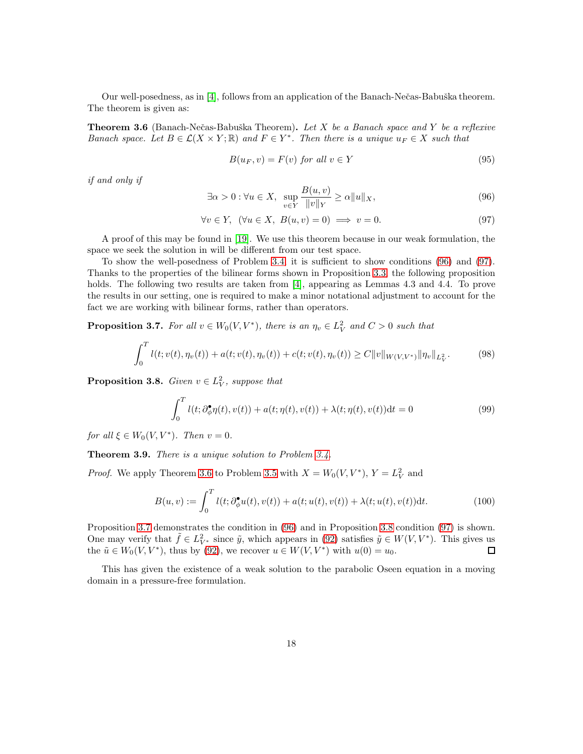Our well-posedness, as in [\[4\]](#page-25-1), follows from an application of the Banach-Nečas-Babuška theorem. The theorem is given as:

<span id="page-17-2"></span>**Theorem 3.6** (Banach-Nečas-Babuška Theorem). Let X be a Banach space and Y be a reflexive Banach space. Let  $B \in \mathcal{L}(X \times Y; \mathbb{R})$  and  $F \in Y^*$ . Then there is a unique  $u_F \in X$  such that

$$
B(u_F, v) = F(v) \text{ for all } v \in Y \tag{95}
$$

if and only if

<span id="page-17-0"></span>
$$
\exists \alpha > 0 : \forall u \in X, \sup_{v \in Y} \frac{B(u, v)}{\|v\|_{Y}} \ge \alpha \|u\|_{X},\tag{96}
$$

<span id="page-17-1"></span>
$$
\forall v \in Y, \ (\forall u \in X, \ B(u, v) = 0) \implies v = 0. \tag{97}
$$

A proof of this may be found in [\[19\]](#page-26-13). We use this theorem because in our weak formulation, the space we seek the solution in will be different from our test space.

To show the well-posedness of Problem [3.4,](#page-16-0) it is sufficient to show conditions [\(96\)](#page-17-0) and [\(97\)](#page-17-1). Thanks to the properties of the bilinear forms shown in Proposition [3.3,](#page-15-2) the following proposition holds. The following two results are taken from [\[4\]](#page-25-1), appearing as Lemmas 4.3 and 4.4. To prove the results in our setting, one is required to make a minor notational adjustment to account for the fact we are working with bilinear forms, rather than operators.

<span id="page-17-3"></span>**Proposition 3.7.** For all  $v \in W_0(V, V^*)$ , there is an  $\eta_v \in L^2_V$  and  $C > 0$  such that

$$
\int_0^T l(t; v(t), \eta_v(t)) + a(t; v(t), \eta_v(t)) + c(t; v(t), \eta_v(t)) \ge C ||v||_{W(V, V^*)} ||\eta_v||_{L^2_V}.
$$
 (98)

<span id="page-17-4"></span>**Proposition 3.8.** Given  $v \in L^2_V$ , suppose that

$$
\int_0^T l(t; \partial_{\phi}^{\bullet} \eta(t), v(t)) + a(t; \eta(t), v(t)) + \lambda(t; \eta(t), v(t)) \mathrm{d}t = 0 \tag{99}
$$

for all  $\xi \in W_0(V, V^*)$ . Then  $v = 0$ .

<span id="page-17-5"></span>Theorem 3.9. There is a unique solution to Problem [3.4.](#page-16-0)

*Proof.* We apply Theorem [3.6](#page-17-2) to Problem [3.5](#page-16-1) with  $X = W_0(V, V^*)$ ,  $Y = L_V^2$  and

$$
B(u, v) := \int_0^T l(t; \partial_{\phi}^{\bullet} u(t), v(t)) + a(t; u(t), v(t)) + \lambda(t; u(t), v(t)) \mathrm{d}t.
$$
 (100)

Proposition [3.7](#page-17-3) demonstrates the condition in [\(96\)](#page-17-0) and in Proposition [3.8](#page-17-4) condition [\(97\)](#page-17-1) is shown. One may verify that  $\tilde{f} \in L^2_{V^*}$  since  $\tilde{y}$ , which appears in [\(92\)](#page-16-2) satisfies  $\tilde{y} \in W(V, V^*)$ . This gives us the  $\tilde{u} \in W_0(V, V^*)$ , thus by [\(92\)](#page-16-2), we recover  $u \in W(V, V^*)$  with  $u(0) = u_0$ .  $\Box$ 

This has given the existence of a weak solution to the parabolic Oseen equation in a moving domain in a pressure-free formulation.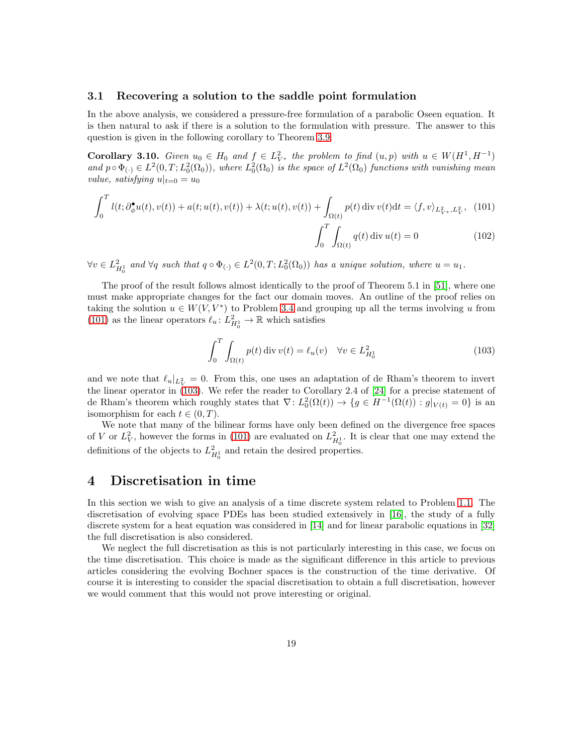### 3.1 Recovering a solution to the saddle point formulation

In the above analysis, we considered a pressure-free formulation of a parabolic Oseen equation. It is then natural to ask if there is a solution to the formulation with pressure. The answer to this question is given in the following corollary to Theorem [3.9.](#page-17-5)

**Corollary 3.10.** Given  $u_0 \in H_0$  and  $f \in L^2_{V^*}$  the problem to find  $(u, p)$  with  $u \in W(H^1, H^{-1})$ and  $p \circ \Phi_{(\cdot)} \in L^2(0,T; L^2_0(\Omega_0))$ , where  $L^2_0(\Omega_0)$  is the space of  $L^2(\Omega_0)$  functions with vanishing mean value, satisfying  $u|_{t=0} = u_0$ 

$$
\int_0^T l(t; \partial_{\phi}^{\bullet} u(t), v(t)) + a(t; u(t), v(t)) + \lambda(t; u(t), v(t)) + \int_{\Omega(t)} p(t) \operatorname{div} v(t) dt = \langle f, v \rangle_{L^2_{V^*}, L^2_V}, \tag{101}
$$

$$
\int_0^T \int_{\Omega(t)} q(t) \operatorname{div} u(t) = 0
$$

 $\forall v \in L_{H_0^1}^2$  and  $\forall q$  such that  $q \circ \Phi_{(\cdot)} \in L^2(0,T; L_0^2(\Omega_0))$  has a unique solution, where  $u = u_1$ .

The proof of the result follows almost identically to the proof of Theorem 5.1 in [\[51\]](#page-28-7), where one must make appropriate changes for the fact our domain moves. An outline of the proof relies on taking the solution  $u \in W(V, V^*)$  to Problem [3.4](#page-16-0) and grouping up all the terms involving u from [\(101\)](#page-18-1) as the linear operators  $\ell_u: L^2_{H^1_0} \to \mathbb{R}$  which satisfies

<span id="page-18-2"></span><span id="page-18-1"></span>
$$
\int_0^T \int_{\Omega(t)} p(t) \operatorname{div} v(t) = \ell_u(v) \quad \forall v \in L_{H_0^1}^2 \tag{103}
$$

and we note that  $\ell_u|_{L^2_V} = 0$ . From this, one uses an adaptation of de Rham's theorem to invert the linear operator in [\(103\)](#page-18-2). We refer the reader to Corollary 2.4 of [\[24\]](#page-26-14) for a precise statement of de Rham's theorem which roughly states that  $\nabla: L_0^2(\Omega(t)) \to \{g \in H^{-1}(\Omega(t)) : g|_{V(t)} = 0\}$  is an isomorphism for each  $t \in (0, T)$ .

We note that many of the bilinear forms have only been defined on the divergence free spaces of V or  $L^2_V$ , however the forms in [\(101\)](#page-18-1) are evaluated on  $L^2_{H_0^1}$ . It is clear that one may extend the definitions of the objects to  $L_{H_0^1}^2$  and retain the desired properties.

### <span id="page-18-0"></span>4 Discretisation in time

In this section we wish to give an analysis of a time discrete system related to Problem [1.1.](#page-2-1) The discretisation of evolving space PDEs has been studied extensively in [\[16\]](#page-26-6), the study of a fully discrete system for a heat equation was considered in [\[14\]](#page-26-15) and for linear parabolic equations in [\[32\]](#page-27-14) the full discretisation is also considered.

We neglect the full discretisation as this is not particularly interesting in this case, we focus on the time discretisation. This choice is made as the significant difference in this article to previous articles considering the evolving Bochner spaces is the construction of the time derivative. Of course it is interesting to consider the spacial discretisation to obtain a full discretisation, however we would comment that this would not prove interesting or original.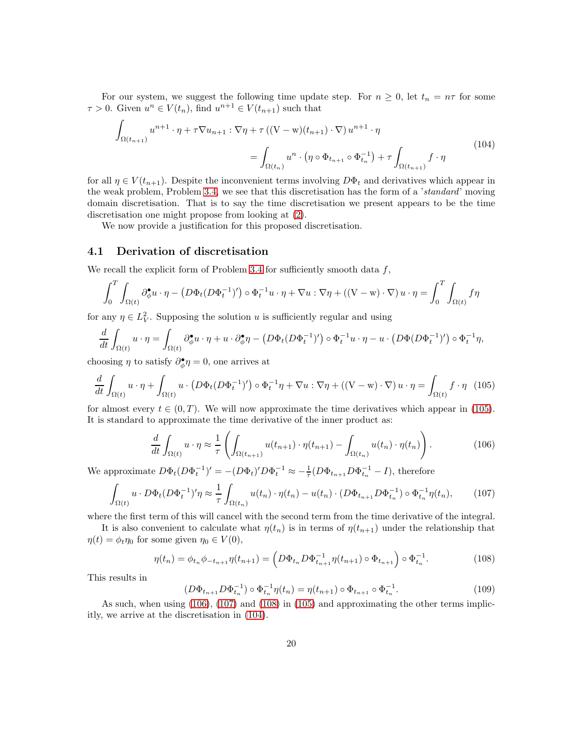For our system, we suggest the following time update step. For  $n \geq 0$ , let  $t_n = n\tau$  for some  $\tau > 0$ . Given  $u^n \in V(t_n)$ , find  $u^{n+1} \in V(t_{n+1})$  such that

<span id="page-19-4"></span>
$$
\int_{\Omega(t_{n+1})} u^{n+1} \cdot \eta + \tau \nabla u_{n+1} : \nabla \eta + \tau ((\mathbf{V} - \mathbf{w})(t_{n+1}) \cdot \nabla) u^{n+1} \cdot \eta
$$
\n
$$
= \int_{\Omega(t_n)} u^n \cdot (\eta \circ \Phi_{t_{n+1}} \circ \Phi_{t_n}^{-1}) + \tau \int_{\Omega(t_{n+1})} f \cdot \eta
$$
\n(104)

for all  $\eta \in V(t_{n+1})$ . Despite the inconvenient terms involving  $D\Phi_t$  and derivatives which appear in the weak problem, Problem [3.4,](#page-16-0) we see that this discretisation has the form of a 'standard' moving domain discretisation. That is to say the time discretisation we present appears to be the time discretisation one might propose from looking at [\(2\)](#page-2-2).

We now provide a justification for this proposed discretisation.

### 4.1 Derivation of discretisation

We recall the explicit form of Problem [3.4](#page-16-0) for sufficiently smooth data  $f$ ,

$$
\int_0^T \int_{\Omega(t)} \partial_{\phi}^{\bullet} u \cdot \eta - \left( D \Phi_t (D \Phi_t^{-1})' \right) \circ \Phi_t^{-1} u \cdot \eta + \nabla u : \nabla \eta + \left( (\nabla - \mathbf{w}) \cdot \nabla \right) u \cdot \eta = \int_0^T \int_{\Omega(t)} f \eta
$$

for any  $\eta \in L^2_V$ . Supposing the solution u is sufficiently regular and using

$$
\frac{d}{dt} \int_{\Omega(t)} u \cdot \eta = \int_{\Omega(t)} \partial_{\phi}^{\bullet} u \cdot \eta + u \cdot \partial_{\phi}^{\bullet} \eta - \left( D \Phi_t (D \Phi_t^{-1})' \right) \circ \Phi_t^{-1} u \cdot \eta - u \cdot \left( D \Phi (D \Phi_t^{-1})' \right) \circ \Phi_t^{-1} \eta,
$$

choosing  $\eta$  to satisfy  $\partial_{\phi}^{\bullet} \eta = 0$ , one arrives at

<span id="page-19-0"></span>
$$
\frac{d}{dt} \int_{\Omega(t)} u \cdot \eta + \int_{\Omega(t)} u \cdot \left( D\Phi_t (D\Phi_t^{-1})' \right) \circ \Phi_t^{-1} \eta + \nabla u : \nabla \eta + \left( (\nabla - \mathbf{w}) \cdot \nabla \right) u \cdot \eta = \int_{\Omega(t)} f \cdot \eta \tag{105}
$$

for almost every  $t \in (0, T)$ . We will now approximate the time derivatives which appear in [\(105\)](#page-19-0). It is standard to approximate the time derivative of the inner product as:

<span id="page-19-1"></span>
$$
\frac{d}{dt} \int_{\Omega(t)} u \cdot \eta \approx \frac{1}{\tau} \left( \int_{\Omega(t_{n+1})} u(t_{n+1}) \cdot \eta(t_{n+1}) - \int_{\Omega(t_n)} u(t_n) \cdot \eta(t_n) \right). \tag{106}
$$

We approximate  $D\Phi_t (D\Phi_t^{-1})' = -(D\Phi_t)' D\Phi_t^{-1} \approx -\frac{1}{\tau} (D\Phi_{t_{n+1}} D\Phi_{t_n}^{-1} - I)$ , therefore

<span id="page-19-2"></span>
$$
\int_{\Omega(t)} u \cdot D\Phi_t (D\Phi_t^{-1})' \eta \approx \frac{1}{\tau} \int_{\Omega(t_n)} u(t_n) \cdot \eta(t_n) - u(t_n) \cdot (D\Phi_{t_{n+1}} D\Phi_{t_n}^{-1}) \circ \Phi_{t_n}^{-1} \eta(t_n), \tag{107}
$$

where the first term of this will cancel with the second term from the time derivative of the integral.

It is also convenient to calculate what  $\eta(t_n)$  is in terms of  $\eta(t_{n+1})$  under the relationship that  $\eta(t) = \phi_t \eta_0$  for some given  $\eta_0 \in V(0)$ ,

<span id="page-19-3"></span>
$$
\eta(t_n) = \phi_{t_n} \phi_{-t_{n+1}} \eta(t_{n+1}) = \left( D \Phi_{t_n} D \Phi_{t_{n+1}}^{-1} \eta(t_{n+1}) \circ \Phi_{t_{n+1}} \right) \circ \Phi_{t_n}^{-1}.
$$
\n(108)

This results in

$$
(D\Phi_{t_{n+1}}D\Phi_{t_n}^{-1}) \circ \Phi_{t_n}^{-1} \eta(t_n) = \eta(t_{n+1}) \circ \Phi_{t_{n+1}} \circ \Phi_{t_n}^{-1}.
$$
 (109)

As such, when using [\(106\)](#page-19-1), [\(107\)](#page-19-2) and [\(108\)](#page-19-3) in [\(105\)](#page-19-0) and approximating the other terms implicitly, we arrive at the discretisation in [\(104\)](#page-19-4).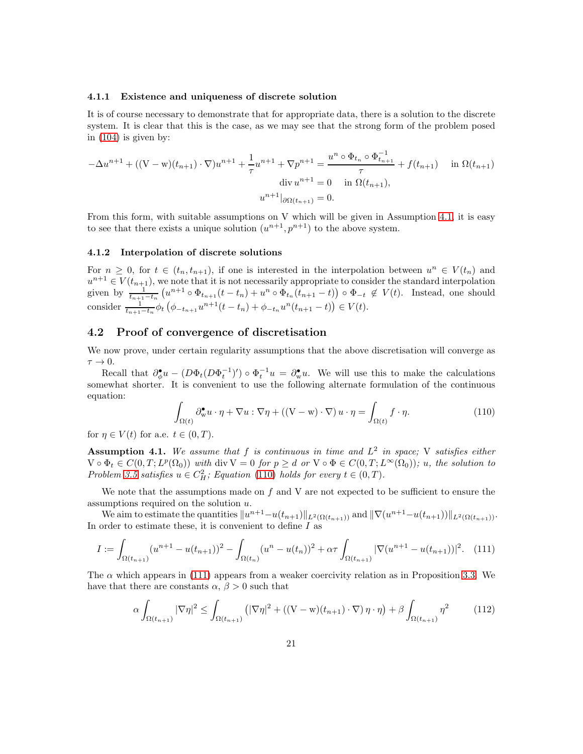#### 4.1.1 Existence and uniqueness of discrete solution

It is of course necessary to demonstrate that for appropriate data, there is a solution to the discrete system. It is clear that this is the case, as we may see that the strong form of the problem posed in [\(104\)](#page-19-4) is given by:

$$
-\Delta u^{n+1} + ((V - w)(t_{n+1}) \cdot \nabla)u^{n+1} + \frac{1}{\tau}u^{n+1} + \nabla p^{n+1} = \frac{u^n \circ \Phi_{t_n} \circ \Phi_{t_{n+1}}^{-1}}{\tau} + f(t_{n+1}) \quad \text{in } \Omega(t_{n+1})
$$

$$
\text{div } u^{n+1} = 0 \quad \text{in } \Omega(t_{n+1}),
$$

$$
u^{n+1}|_{\partial \Omega(t_{n+1})} = 0.
$$

From this form, with suitable assumptions on V which will be given in Assumption [4.1,](#page-20-0) it is easy to see that there exists a unique solution  $(u^{n+1}, p^{n+1})$  to the above system.

#### 4.1.2 Interpolation of discrete solutions

For  $n \geq 0$ , for  $t \in (t_n, t_{n+1})$ , if one is interested in the interpolation between  $u^n \in V(t_n)$  and  $u^{n+1} \in V(t_{n+1}),$  we note that it is not necessarily appropriate to consider the standard interpolation given by  $\frac{1}{t_{n+1}-t_n}(u^{n+1}\circ \Phi_{t_{n+1}}(t-t_n)+u^n\circ \Phi_{t_n}(t_{n+1}-t))\circ \Phi_{-t} \notin V(t)$ . Instead, one should consider  $\frac{1}{t_{n+1}-t_n}\phi_t\left(\phi_{-t_{n+1}}u^{n+1}(t-t_n)+\phi_{-t_n}u^n(t_{n+1}-t)\right)\in V(t)$ .

### 4.2 Proof of convergence of discretisation

We now prove, under certain regularity assumptions that the above discretisation will converge as  $\tau \rightarrow 0.$ 

Recall that  $\partial_{\phi}^{\bullet}u - (D\Phi_t(D\Phi_t^{-1})') \circ \Phi_t^{-1}u = \partial_{w}^{\bullet}u$ . We will use this to make the calculations somewhat shorter. It is convenient to use the following alternate formulation of the continuous equation:

<span id="page-20-1"></span>
$$
\int_{\Omega(t)} \partial_{\mathbf{w}}^{\bullet} u \cdot \eta + \nabla u : \nabla \eta + ((\mathbf{V} - \mathbf{w}) \cdot \nabla) u \cdot \eta = \int_{\Omega(t)} f \cdot \eta.
$$
\n(110)

for  $\eta \in V(t)$  for a.e.  $t \in (0, T)$ .

<span id="page-20-0"></span>**Assumption 4.1.** We assume that f is continuous in time and  $L^2$  in space; V satisfies either  $V \circ \Phi_t \in C(0,T; L^p(\Omega_0))$  with div  $V = 0$  for  $p \geq d$  or  $V \circ \Phi \in C(0,T; L^{\infty}(\Omega_0))$ ; u, the solution to Problem [3.5](#page-16-1) satisfies  $u \in C_H^2$ ; Equation [\(110\)](#page-20-1) holds for every  $t \in (0, T)$ .

We note that the assumptions made on  $f$  and  $V$  are not expected to be sufficient to ensure the assumptions required on the solution u.

We aim to estimate the quantities  $||u^{n+1}-u(t_{n+1})||_{L^2(\Omega(t_{n+1}))}$  and  $||\nabla(u^{n+1}-u(t_{n+1}))||_{L^2(\Omega(t_{n+1}))}$ . In order to estimate these, it is convenient to define  $I$  as

<span id="page-20-2"></span>
$$
I := \int_{\Omega(t_{n+1})} (u^{n+1} - u(t_{n+1}))^2 - \int_{\Omega(t_n)} (u^n - u(t_n))^2 + \alpha \tau \int_{\Omega(t_{n+1})} |\nabla(u^{n+1} - u(t_{n+1}))|^2.
$$
 (111)

The  $\alpha$  which appears in [\(111\)](#page-20-2) appears from a weaker coercivity relation as in Proposition [3.3.](#page-15-2) We have that there are constants  $\alpha$ ,  $\beta > 0$  such that

<span id="page-20-3"></span>
$$
\alpha \int_{\Omega(t_{n+1})} |\nabla \eta|^2 \le \int_{\Omega(t_{n+1})} \left( |\nabla \eta|^2 + \left( (\mathbf{V} - \mathbf{w})(t_{n+1}) \cdot \nabla \right) \eta \cdot \eta \right) + \beta \int_{\Omega(t_{n+1})} \eta^2 \tag{112}
$$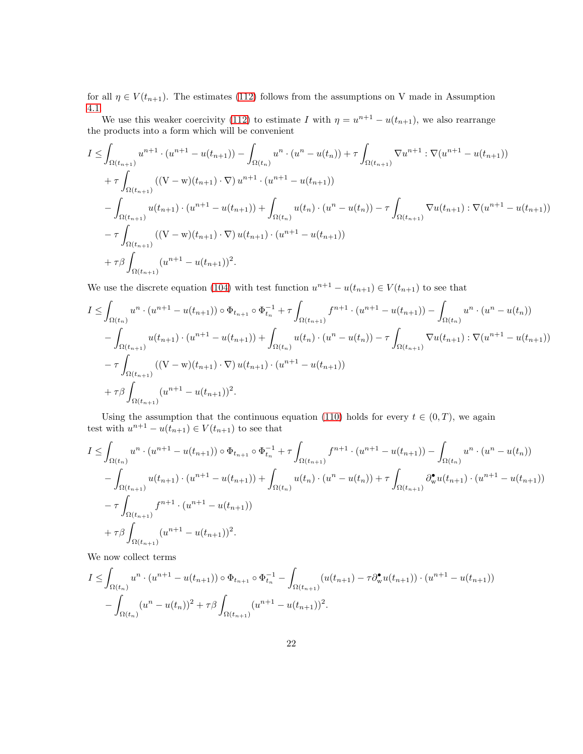for all  $\eta \in V(t_{n+1})$ . The estimates [\(112\)](#page-20-3) follows from the assumptions on V made in Assumption [4.1.](#page-20-0)

We use this weaker coercivity [\(112\)](#page-20-3) to estimate I with  $\eta = u^{n+1} - u(t_{n+1})$ , we also rearrange the products into a form which will be convenient

$$
I \leq \int_{\Omega(t_{n+1})} u^{n+1} \cdot (u^{n+1} - u(t_{n+1})) - \int_{\Omega(t_n)} u^n \cdot (u^n - u(t_n)) + \tau \int_{\Omega(t_{n+1})} \nabla u^{n+1} : \nabla (u^{n+1} - u(t_{n+1}))
$$
  
+  $\tau \int_{\Omega(t_{n+1})} ((V - w)(t_{n+1}) \cdot \nabla) u^{n+1} \cdot (u^{n+1} - u(t_{n+1}))$   
-  $\int_{\Omega(t_{n+1})} u(t_{n+1}) \cdot (u^{n+1} - u(t_{n+1})) + \int_{\Omega(t_n)} u(t_n) \cdot (u^n - u(t_n)) - \tau \int_{\Omega(t_{n+1})} \nabla u(t_{n+1}) : \nabla (u^{n+1} - u(t_{n+1}))$   
-  $\tau \int_{\Omega(t_{n+1})} ((V - w)(t_{n+1}) \cdot \nabla) u(t_{n+1}) \cdot (u^{n+1} - u(t_{n+1}))$   
+  $\tau \beta \int_{\Omega(t_{n+1})} (u^{n+1} - u(t_{n+1}))^2.$ 

We use the discrete equation [\(104\)](#page-19-4) with test function  $u^{n+1} - u(t_{n+1}) \in V(t_{n+1})$  to see that

$$
I \leq \int_{\Omega(t_n)} u^n \cdot (u^{n+1} - u(t_{n+1})) \circ \Phi_{t_{n+1}} \circ \Phi_{t_n}^{-1} + \tau \int_{\Omega(t_{n+1})} f^{n+1} \cdot (u^{n+1} - u(t_{n+1})) - \int_{\Omega(t_n)} u^n \cdot (u^n - u(t_n))
$$
  
- 
$$
\int_{\Omega(t_{n+1})} u(t_{n+1}) \cdot (u^{n+1} - u(t_{n+1})) + \int_{\Omega(t_n)} u(t_n) \cdot (u^n - u(t_n)) - \tau \int_{\Omega(t_{n+1})} \nabla u(t_{n+1}) \cdot \nabla (u^{n+1} - u(t_{n+1}))
$$
  
- 
$$
\tau \int_{\Omega(t_{n+1})} ((V - w)(t_{n+1}) \cdot \nabla) u(t_{n+1}) \cdot (u^{n+1} - u(t_{n+1}))
$$
  
+ 
$$
\tau \beta \int_{\Omega(t_{n+1})} (u^{n+1} - u(t_{n+1}))^2.
$$

Using the assumption that the continuous equation [\(110\)](#page-20-1) holds for every  $t \in (0, T)$ , we again test with  $u^{n+1} - u(t_{n+1}) \in V(t_{n+1})$  to see that

$$
I \leq \int_{\Omega(t_n)} u^n \cdot (u^{n+1} - u(t_{n+1})) \circ \Phi_{t_{n+1}} \circ \Phi_{t_n}^{-1} + \tau \int_{\Omega(t_{n+1})} f^{n+1} \cdot (u^{n+1} - u(t_{n+1})) - \int_{\Omega(t_n)} u^n \cdot (u^n - u(t_n))
$$
  

$$
- \int_{\Omega(t_{n+1})} u(t_{n+1}) \cdot (u^{n+1} - u(t_{n+1})) + \int_{\Omega(t_n)} u(t_n) \cdot (u^n - u(t_n)) + \tau \int_{\Omega(t_{n+1})} \partial_{\mathbf{w}}^{\bullet} u(t_{n+1}) \cdot (u^{n+1} - u(t_{n+1}))
$$
  

$$
- \tau \int_{\Omega(t_{n+1})} f^{n+1} \cdot (u^{n+1} - u(t_{n+1}))
$$
  

$$
+ \tau \beta \int_{\Omega(t_{n+1})} (u^{n+1} - u(t_{n+1}))^2.
$$

We now collect terms

$$
I \leq \int_{\Omega(t_n)} u^n \cdot (u^{n+1} - u(t_{n+1})) \circ \Phi_{t_{n+1}} \circ \Phi_{t_n}^{-1} - \int_{\Omega(t_{n+1})} (u(t_{n+1}) - \tau \partial_{\mathbf{w}}^{\bullet} u(t_{n+1})) \cdot (u^{n+1} - u(t_{n+1}))
$$

$$
- \int_{\Omega(t_n)} (u^n - u(t_n))^2 + \tau \beta \int_{\Omega(t_{n+1})} (u^{n+1} - u(t_{n+1}))^2.
$$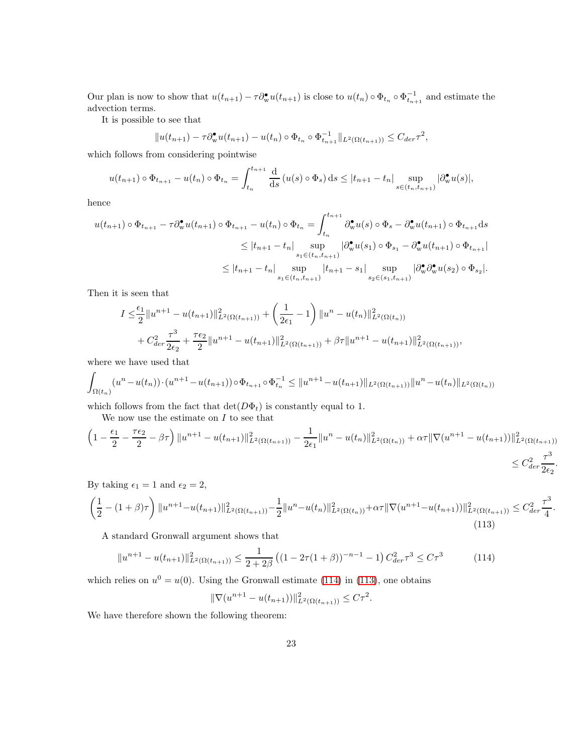Our plan is now to show that  $u(t_{n+1}) - \tau \partial_w^{\bullet} u(t_{n+1})$  is close to  $u(t_n) \circ \Phi_{t_n} \circ \Phi_{t_{n+1}}^{-1}$  and estimate the advection terms.

It is possible to see that

$$
||u(t_{n+1}) - \tau \partial_{\mathbf{w}}^{\bullet} u(t_{n+1}) - u(t_n) \circ \Phi_{t_n} \circ \Phi_{t_{n+1}}^{-1} ||_{L^2(\Omega(t_{n+1}))} \leq C_{der} \tau^2,
$$

which follows from considering pointwise

$$
u(t_{n+1}) \circ \Phi_{t_{n+1}} - u(t_n) \circ \Phi_{t_n} = \int_{t_n}^{t_{n+1}} \frac{d}{ds} (u(s) \circ \Phi_s) ds \leq |t_{n+1} - t_n| \sup_{s \in (t_n, t_{n+1})} |\partial_{w}^{\bullet} u(s)|,
$$

hence

$$
u(t_{n+1}) \circ \Phi_{t_{n+1}} - \tau \partial_{\mathbf{w}}^{\bullet} u(t_{n+1}) \circ \Phi_{t_{n+1}} - u(t_n) \circ \Phi_{t_n} = \int_{t_n}^{t_{n+1}} \partial_{\mathbf{w}}^{\bullet} u(s) \circ \Phi_s - \partial_{\mathbf{w}}^{\bullet} u(t_{n+1}) \circ \Phi_{t_{n+1}} ds
$$
  
\n
$$
\leq |t_{n+1} - t_n| \sup_{s_1 \in (t_n, t_{n+1})} |\partial_{\mathbf{w}}^{\bullet} u(s_1) \circ \Phi_{s_1} - \partial_{\mathbf{w}}^{\bullet} u(t_{n+1}) \circ \Phi_{t_{n+1}}|
$$
  
\n
$$
\leq |t_{n+1} - t_n| \sup_{s_1 \in (t_n, t_{n+1})} |t_{n+1} - s_1| \sup_{s_2 \in (s_1, t_{n+1})} |\partial_{\mathbf{w}}^{\bullet} \partial_{\mathbf{w}}^{\bullet} u(s_2) \circ \Phi_{s_2}|.
$$

Then it is seen that

$$
I \leq \frac{\epsilon_1}{2} ||u^{n+1} - u(t_{n+1})||_{L^2(\Omega(t_{n+1}))}^2 + \left(\frac{1}{2\epsilon_1} - 1\right) ||u^n - u(t_n)||_{L^2(\Omega(t_n))}^2
$$
  
+  $C_{der}^2 \frac{\tau^3}{2\epsilon_2} + \frac{\tau \epsilon_2}{2} ||u^{n+1} - u(t_{n+1})||_{L^2(\Omega(t_{n+1}))}^2 + \beta \tau ||u^{n+1} - u(t_{n+1})||_{L^2(\Omega(t_{n+1}))}^2,$ 

where we have used that

$$
\int_{\Omega(t_n)} (u^n - u(t_n)) \cdot (u^{n+1} - u(t_{n+1})) \circ \Phi_{t_{n+1}} \circ \Phi_{t_n}^{-1} \leq ||u^{n+1} - u(t_{n+1})||_{L^2(\Omega(t_{n+1}))} ||u^n - u(t_n)||_{L^2(\Omega(t_n))}
$$

which follows from the fact that  $\det(D\Phi_t)$  is constantly equal to 1.

We now use the estimate on  $I$  to see that

$$
\left(1 - \frac{\epsilon_1}{2} - \frac{\tau \epsilon_2}{2} - \beta \tau\right) \|u^{n+1} - u(t_{n+1})\|_{L^2(\Omega(t_{n+1}))}^2 - \frac{1}{2\epsilon_1} \|u^n - u(t_n)\|_{L^2(\Omega(t_n))}^2 + \alpha \tau \|\nabla(u^{n+1} - u(t_{n+1}))\|_{L^2(\Omega(t_{n+1}))}^2\right)
$$
  

$$
\leq C_{der}^2 \frac{\tau^3}{2\epsilon_2}.
$$

By taking  $\epsilon_1 = 1$  and  $\epsilon_2 = 2$ ,

<span id="page-22-1"></span>
$$
\left(\frac{1}{2} - (1+\beta)\tau\right) \|u^{n+1} - u(t_{n+1})\|_{L^2(\Omega(t_{n+1}))}^2 - \frac{1}{2} \|u^n - u(t_n)\|_{L^2(\Omega(t_n))}^2 + \alpha\tau \|\nabla(u^{n+1} - u(t_{n+1}))\|_{L^2(\Omega(t_{n+1}))}^2 \leq C_{der}^2 \frac{\tau^3}{4}.
$$
\n(113)

A standard Gronwall argument shows that

<span id="page-22-0"></span>
$$
||u^{n+1} - u(t_{n+1})||_{L^2(\Omega(t_{n+1}))}^2 \le \frac{1}{2+2\beta} \left( (1 - 2\tau(1+\beta))^{-n-1} - 1 \right) C_{der}^2 \tau^3 \le C\tau^3 \tag{114}
$$

which relies on  $u^0 = u(0)$ . Using the Gronwall estimate [\(114\)](#page-22-0) in [\(113\)](#page-22-1), one obtains

$$
\|\nabla(u^{n+1} - u(t_{n+1}))\|_{L^2(\Omega(t_{n+1}))}^2 \le C\tau^2.
$$

We have therefore shown the following theorem: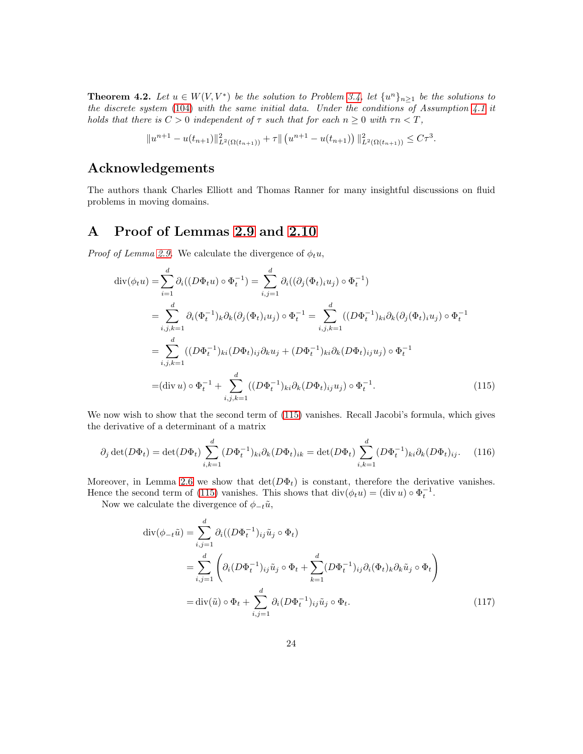**Theorem 4.2.** Let  $u \in W(V, V^*)$  be the solution to Problem [3.4,](#page-16-0) let  $\{u^n\}_{n\geq 1}$  be the solutions to the discrete system [\(104\)](#page-19-4) with the same initial data. Under the conditions of Assumption [4.1](#page-20-0) it holds that there is  $C > 0$  independent of  $\tau$  such that for each  $n \geq 0$  with  $\tau n < T$ ,

$$
||u^{n+1} - u(t_{n+1})||_{L^2(\Omega(t_{n+1}))}^2 + \tau ||(u^{n+1} - u(t_{n+1}))||_{L^2(\Omega(t_{n+1}))}^2 \leq C\tau^3.
$$

# Acknowledgements

The authors thank Charles Elliott and Thomas Ranner for many insightful discussions on fluid problems in moving domains.

# <span id="page-23-0"></span>A Proof of Lemmas [2.9](#page-5-1) and [2.10](#page-5-0)

*Proof of Lemma [2.9.](#page-5-1)* We calculate the divergence of  $\phi_t u$ ,

$$
\operatorname{div}(\phi_t u) = \sum_{i=1}^d \partial_i ((D\Phi_t u) \circ \Phi_t^{-1}) = \sum_{i,j=1}^d \partial_i ((\partial_j (\Phi_t)_{i} u_j) \circ \Phi_t^{-1})
$$
  
\n
$$
= \sum_{i,j,k=1}^d \partial_i (\Phi_t^{-1})_k \partial_k (\partial_j (\Phi_t)_{i} u_j) \circ \Phi_t^{-1} = \sum_{i,j,k=1}^d ((D\Phi_t^{-1})_{ki} \partial_k (\partial_j (\Phi_t)_{i} u_j) \circ \Phi_t^{-1}
$$
  
\n
$$
= \sum_{i,j,k=1}^d ((D\Phi_t^{-1})_{ki} (D\Phi_t)_{ij} \partial_k u_j + (D\Phi_t^{-1})_{ki} \partial_k (D\Phi_t)_{ij} u_j) \circ \Phi_t^{-1}
$$
  
\n
$$
= (\operatorname{div} u) \circ \Phi_t^{-1} + \sum_{i,j,k=1}^d ((D\Phi_t^{-1})_{ki} \partial_k (D\Phi_t)_{ij} u_j) \circ \Phi_t^{-1}.
$$
 (115)

We now wish to show that the second term of [\(115\)](#page-23-1) vanishes. Recall Jacobi's formula, which gives the derivative of a determinant of a matrix

$$
\partial_j \det(D\Phi_t) = \det(D\Phi_t) \sum_{i,k=1}^d (D\Phi_t^{-1})_{ki} \partial_k (D\Phi_t)_{ik} = \det(D\Phi_t) \sum_{i,k=1}^d (D\Phi_t^{-1})_{ki} \partial_k (D\Phi_t)_{ij}.
$$
 (116)

Moreover, in Lemma [2.6](#page-4-3) we show that  $\det(D\Phi_t)$  is constant, therefore the derivative vanishes. Hence the second term of [\(115\)](#page-23-1) vanishes. This shows that  $\text{div}(\phi_t u) = (\text{div } u) \circ \Phi_t^{-1}$ .

Now we calculate the divergence of  $\phi_{-t}\tilde{u}$ ,

<span id="page-23-2"></span><span id="page-23-1"></span>
$$
\operatorname{div}(\phi_{-t}\tilde{u}) = \sum_{i,j=1}^{d} \partial_i ((D\Phi_t^{-1})_{ij}\tilde{u}_j \circ \Phi_t)
$$
  
\n
$$
= \sum_{i,j=1}^{d} \left( \partial_i (D\Phi_t^{-1})_{ij}\tilde{u}_j \circ \Phi_t + \sum_{k=1}^{d} (D\Phi_t^{-1})_{ij}\partial_i (\Phi_t)_k \partial_k \tilde{u}_j \circ \Phi_t \right)
$$
  
\n
$$
= \operatorname{div}(\tilde{u}) \circ \Phi_t + \sum_{i,j=1}^{d} \partial_i (D\Phi_t^{-1})_{ij}\tilde{u}_j \circ \Phi_t.
$$
 (117)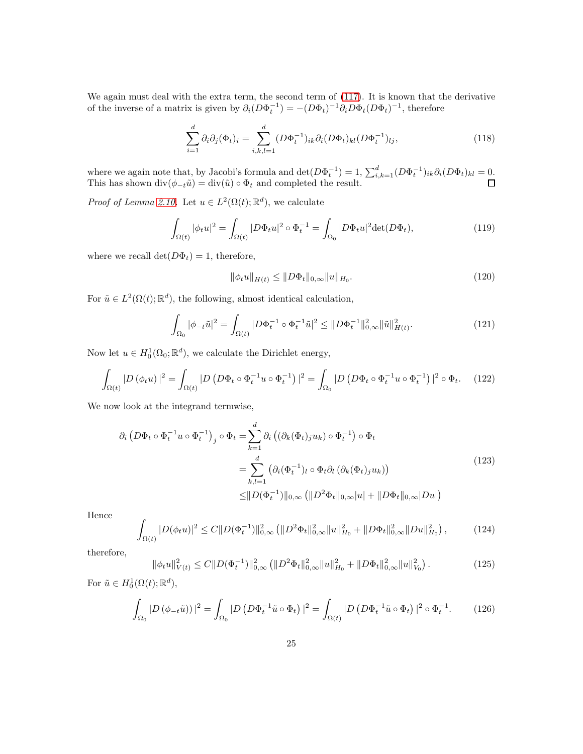We again must deal with the extra term, the second term of [\(117\)](#page-23-2). It is known that the derivative of the inverse of a matrix is given by  $\partial_i (D\Phi_t^{-1}) = -(D\Phi_t)^{-1} \partial_i D\Phi_t (D\Phi_t)^{-1}$ , therefore

$$
\sum_{i=1}^{d} \partial_i \partial_j (\Phi_t)_i = \sum_{i,k,l=1}^{d} (D\Phi_t^{-1})_{ik} \partial_i (D\Phi_t)_{kl} (D\Phi_t^{-1})_{lj},
$$
\n(118)

where we again note that, by Jacobi's formula and  $\det(D\Phi_t^{-1}) = 1$ ,  $\sum_{i,k=1}^d (D\Phi_t^{-1})_{ik} \partial_i (D\Phi_t)_{kl} = 0$ . This has shown  $\text{div}(\phi_{-t}\tilde{u}) = \text{div}(\tilde{u}) \circ \Phi_t$  and completed the result.

*Proof of Lemma [2.10.](#page-5-0)* Let  $u \in L^2(\Omega(t); \mathbb{R}^d)$ , we calculate

$$
\int_{\Omega(t)} |\phi_t u|^2 = \int_{\Omega(t)} |D\Phi_t u|^2 \circ \Phi_t^{-1} = \int_{\Omega_0} |D\Phi_t u|^2 \det(D\Phi_t),\tag{119}
$$

where we recall  $\det(D\Phi_t) = 1$ , therefore,

$$
\|\phi_t u\|_{H(t)} \le \|D\Phi_t\|_{0,\infty} \|u\|_{H_0}.\tag{120}
$$

For  $\tilde{u} \in L^2(\Omega(t); \mathbb{R}^d)$ , the following, almost identical calculation,

$$
\int_{\Omega_0} |\phi_{-t}\tilde{u}|^2 = \int_{\Omega(t)} |D\Phi_t^{-1} \circ \Phi_t^{-1}\tilde{u}|^2 \leq \|D\Phi_t^{-1}\|_{0,\infty}^2 \|\tilde{u}\|_{H(t)}^2.
$$
\n(121)

Now let  $u \in H_0^1(\Omega_0; \mathbb{R}^d)$ , we calculate the Dirichlet energy,

$$
\int_{\Omega(t)} |D(\phi_t u)|^2 = \int_{\Omega(t)} |D(D\Phi_t \circ \Phi_t^{-1} u \circ \Phi_t^{-1})|^2 = \int_{\Omega_0} |D(D\Phi_t \circ \Phi_t^{-1} u \circ \Phi_t^{-1})|^2 \circ \Phi_t.
$$
 (122)

We now look at the integrand termwise,

$$
\partial_i \left( D\Phi_t \circ \Phi_t^{-1} u \circ \Phi_t^{-1} \right)_j \circ \Phi_t = \sum_{k=1}^d \partial_i \left( (\partial_k (\Phi_t)_j u_k) \circ \Phi_t^{-1} \right) \circ \Phi_t
$$
\n
$$
= \sum_{k,l=1}^d \left( \partial_i (\Phi_t^{-1})_l \circ \Phi_t \partial_l \left( \partial_k (\Phi_t)_j u_k \right) \right)
$$
\n
$$
\leq ||D(\Phi_t^{-1})||_{0,\infty} \left( ||D^2 \Phi_t||_{0,\infty} |u| + ||D\Phi_t||_{0,\infty} |Du| \right)
$$
\n(123)

Hence

$$
\int_{\Omega(t)} |D(\phi_t u)|^2 \le C \|D(\Phi_t^{-1})\|_{0,\infty}^2 \left( \|D^2 \Phi_t\|_{0,\infty}^2 \|u\|_{H_0}^2 + \|D\Phi_t\|_{0,\infty}^2 \|Du\|_{H_0}^2 \right),\tag{124}
$$

therefore,

$$
\|\phi_t u\|_{V(t)}^2 \le C \|D(\Phi_t^{-1})\|_{0,\infty}^2 \left( \|D^2 \Phi_t\|_{0,\infty}^2 \|u\|_{H_0}^2 + \|D\Phi_t\|_{0,\infty}^2 \|u\|_{V_0}^2 \right). \tag{125}
$$

For  $\tilde{u} \in H_0^1(\Omega(t); \mathbb{R}^d)$ ,

J

$$
\int_{\Omega_0} |D(\phi_{-t}\tilde{u}))|^2 = \int_{\Omega_0} |D(D\Phi_t^{-1}\tilde{u}\circ\Phi_t)|^2 = \int_{\Omega(t)} |D(D\Phi_t^{-1}\tilde{u}\circ\Phi_t)|^2 \circ \Phi_t^{-1}.
$$
 (126)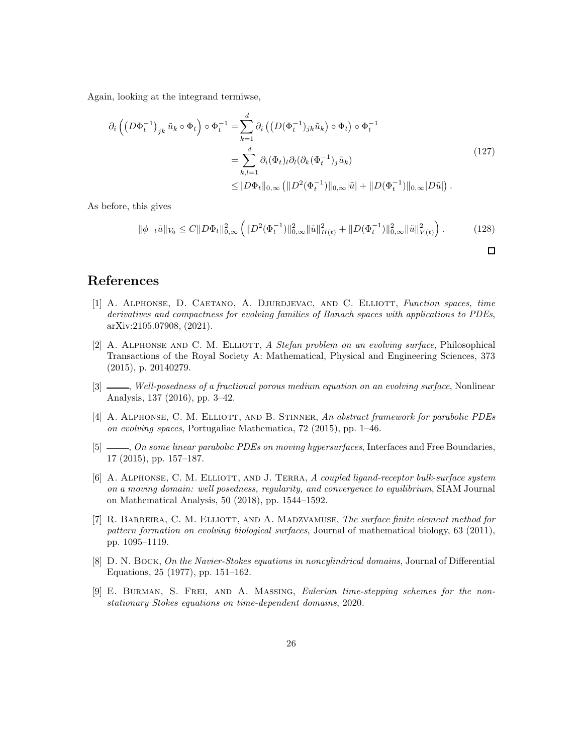Again, looking at the integrand termiwse,

$$
\partial_i \left( \left( D \Phi_t^{-1} \right)_{jk} \tilde{u}_k \circ \Phi_t \right) \circ \Phi_t^{-1} = \sum_{k=1}^d \partial_i \left( \left( D (\Phi_t^{-1})_{jk} \tilde{u}_k \right) \circ \Phi_t \right) \circ \Phi_t^{-1}
$$
\n
$$
= \sum_{k,l=1}^d \partial_i (\Phi_t)_l \partial_l (\partial_k (\Phi_t^{-1})_j \tilde{u}_k)
$$
\n
$$
\leq ||D\Phi_t||_{0,\infty} \left( ||D^2 (\Phi_t^{-1})||_{0,\infty} |\tilde{u}| + ||D (\Phi_t^{-1})||_{0,\infty} |D\tilde{u}| \right).
$$
\n(127)

As before, this gives

$$
\|\phi_{-t}\tilde{u}\|_{V_0} \le C \|D\Phi_t\|_{0,\infty}^2 \left( \|D^2(\Phi_t^{-1})\|_{0,\infty}^2 \|\tilde{u}\|_{H(t)}^2 + \|D(\Phi_t^{-1})\|_{0,\infty}^2 \|\tilde{u}\|_{V(t)}^2 \right). \tag{128}
$$

### <span id="page-25-3"></span>References

- [1] A. Alphonse, D. Caetano, A. Djurdjevac, and C. Elliott, Function spaces, time derivatives and compactness for evolving families of Banach spaces with applications to PDEs, arXiv:2105.07908, (2021).
- <span id="page-25-5"></span>[2] A. ALPHONSE AND C. M. ELLIOTT, A Stefan problem on an evolving surface, Philosophical Transactions of the Royal Society A: Mathematical, Physical and Engineering Sciences, 373 (2015), p. 20140279.
- <span id="page-25-6"></span>[3] , Well-posedness of a fractional porous medium equation on an evolving surface, Nonlinear Analysis, 137 (2016), pp. 3–42.
- <span id="page-25-1"></span>[4] A. ALPHONSE, C. M. ELLIOTT, AND B. STINNER, An abstract framework for parabolic PDEs on evolving spaces, Portugaliae Mathematica, 72 (2015), pp. 1–46.
- <span id="page-25-2"></span>[5]  $\frac{[5]}{[5]}$ , On some linear parabolic PDEs on moving hypersurfaces, Interfaces and Free Boundaries, 17 (2015), pp. 157–187.
- <span id="page-25-4"></span>[6] A. ALPHONSE, C. M. ELLIOTT, AND J. TERRA, A coupled ligand-receptor bulk-surface system on a moving domain: well posedness, regularity, and convergence to equilibrium, SIAM Journal on Mathematical Analysis, 50 (2018), pp. 1544–1592.
- <span id="page-25-0"></span>[7] R. BARREIRA, C. M. ELLIOTT, AND A. MADZVAMUSE, The surface finite element method for pattern formation on evolving biological surfaces, Journal of mathematical biology, 63 (2011), pp. 1095–1119.
- <span id="page-25-7"></span>[8] D. N. BOCK, On the Navier-Stokes equations in noncylindrical domains, Journal of Differential Equations, 25 (1977), pp. 151–162.
- <span id="page-25-8"></span>[9] E. Burman, S. Frei, and A. Massing, Eulerian time-stepping schemes for the nonstationary Stokes equations on time-dependent domains, 2020.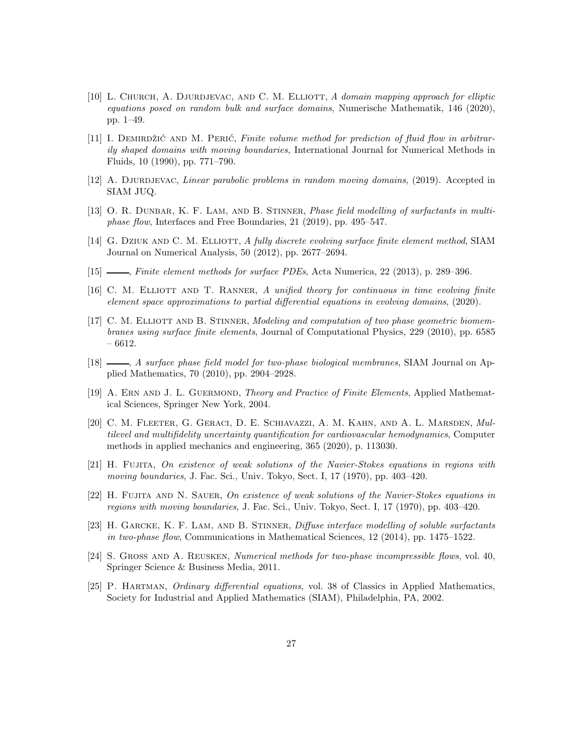- <span id="page-26-10"></span>[10] L. CHURCH, A. DJURDJEVAC, AND C. M. ELLIOTT, A domain mapping approach for elliptic equations posed on random bulk and surface domains, Numerische Mathematik, 146 (2020), pp. 1–49.
- <span id="page-26-8"></span> $[11]$  I. DEMIRDŽIĆ AND M. PERIĆ, Finite volume method for prediction of fluid flow in arbitrarily shaped domains with moving boundaries, International Journal for Numerical Methods in Fluids, 10 (1990), pp. 771–790.
- <span id="page-26-7"></span><span id="page-26-3"></span>[12] A. DJURDJEVAC, Linear parabolic problems in random moving domains, (2019). Accepted in SIAM JUQ.
- [13] O. R. DUNBAR, K. F. LAM, AND B. STINNER, *Phase field modelling of surfactants in multi*phase flow, Interfaces and Free Boundaries, 21 (2019), pp. 495–547.
- <span id="page-26-15"></span>[14] G. DZIUK AND C. M. ELLIOTT, A fully discrete evolving surface finite element method, SIAM Journal on Numerical Analysis, 50 (2012), pp. 2677–2694.
- <span id="page-26-12"></span><span id="page-26-6"></span>[15] , Finite element methods for surface PDEs, Acta Numerica, 22 (2013), p. 289–396.
- [16] C. M. ELLIOTT AND T. RANNER, A unified theory for continuous in time evolving finite element space approximations to partial differential equations in evolving domains, (2020).
- <span id="page-26-0"></span>[17] C. M. ELLIOTT AND B. STINNER, Modeling and computation of two phase geometric biomembranes using surface finite elements, Journal of Computational Physics, 229 (2010), pp. 6585 – 6612.
- <span id="page-26-1"></span>[18]  $\_\_\_\_\$ , A surface phase field model for two-phase biological membranes, SIAM Journal on Applied Mathematics, 70 (2010), pp. 2904–2928.
- <span id="page-26-13"></span>[19] A. ERN AND J. L. GUERMOND, Theory and Practice of Finite Elements, Applied Mathematical Sciences, Springer New York, 2004.
- <span id="page-26-9"></span>[20] C. M. Fleeter, G. Geraci, D. E. Schiavazzi, A. M. Kahn, and A. L. Marsden, Multilevel and multifidelity uncertainty quantification for cardiovascular hemodynamics, Computer methods in applied mechanics and engineering, 365 (2020), p. 113030.
- <span id="page-26-4"></span>[21] H. Fujita, On existence of weak solutions of the Navier-Stokes equations in regions with moving boundaries, J. Fac. Sci., Univ. Tokyo, Sect. I, 17 (1970), pp. 403–420.
- <span id="page-26-5"></span>[22] H. FUJITA AND N. SAUER, On existence of weak solutions of the Navier-Stokes equations in regions with moving boundaries, J. Fac. Sci., Univ. Tokyo, Sect. I, 17 (1970), pp. 403–420.
- <span id="page-26-2"></span>[23] H. GARCKE, K. F. LAM, AND B. STINNER, *Diffuse interface modelling of soluble surfactants* in two-phase flow, Communications in Mathematical Sciences, 12 (2014), pp. 1475–1522.
- <span id="page-26-14"></span>[24] S. Gross and A. Reusken, Numerical methods for two-phase incompressible flows, vol. 40, Springer Science & Business Media, 2011.
- <span id="page-26-11"></span>[25] P. Hartman, Ordinary differential equations, vol. 38 of Classics in Applied Mathematics, Society for Industrial and Applied Mathematics (SIAM), Philadelphia, PA, 2002.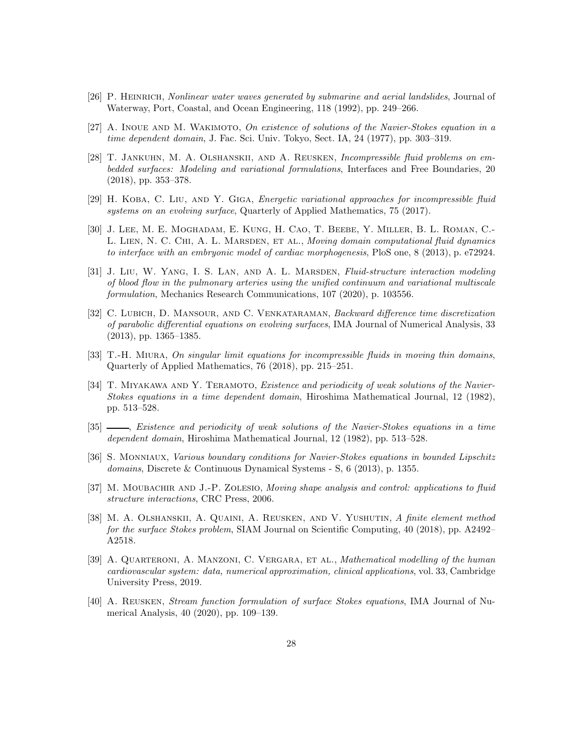- <span id="page-27-5"></span><span id="page-27-0"></span>[26] P. Heinrich, Nonlinear water waves generated by submarine and aerial landslides, Journal of Waterway, Port, Coastal, and Ocean Engineering, 118 (1992), pp. 249–266.
- <span id="page-27-10"></span>[27] A. Inoue and M. Wakimoto, On existence of solutions of the Navier-Stokes equation in a time dependent domain, J. Fac. Sci. Univ. Tokyo, Sect. IA, 24 (1977), pp. 303–319.
- [28] T. Jankuhn, M. A. Olshanskii, and A. Reusken, Incompressible fluid problems on embedded surfaces: Modeling and variational formulations, Interfaces and Free Boundaries, 20 (2018), pp. 353–378.
- <span id="page-27-8"></span>[29] H. KOBA, C. LIU, AND Y. GIGA, Energetic variational approaches for incompressible fluid systems on an evolving surface, Quarterly of Applied Mathematics, 75 (2017).
- <span id="page-27-1"></span>[30] J. Lee, M. E. Moghadam, E. Kung, H. Cao, T. Beebe, Y. Miller, B. L. Roman, C.- L. LIEN, N. C. CHI, A. L. MARSDEN, ET AL., Moving domain computational fluid dynamics to interface with an embryonic model of cardiac morphogenesis, PloS one, 8 (2013), p. e72924.
- <span id="page-27-2"></span>[31] J. LIU, W. YANG, I. S. LAN, AND A. L. MARSDEN, Fluid-structure interaction modeling of blood flow in the pulmonary arteries using the unified continuum and variational multiscale formulation, Mechanics Research Communications, 107 (2020), p. 103556.
- <span id="page-27-14"></span>[32] C. LUBICH, D. MANSOUR, AND C. VENKATARAMAN, Backward difference time discretization of parabolic differential equations on evolving surfaces, IMA Journal of Numerical Analysis, 33 (2013), pp. 1365–1385.
- <span id="page-27-9"></span>[33] T.-H. Miura, On singular limit equations for incompressible fluids in moving thin domains, Quarterly of Applied Mathematics, 76 (2018), pp. 215–251.
- <span id="page-27-4"></span>[34] T. MIYAKAWA AND Y. TERAMOTO, *Existence and periodicity of weak solutions of the Navier-*Stokes equations in a time dependent domain, Hiroshima Mathematical Journal, 12 (1982), pp. 513–528.
- <span id="page-27-7"></span>[35]  $\_\_\_\_\_\$  Existence and periodicity of weak solutions of the Navier-Stokes equations in a time dependent domain, Hiroshima Mathematical Journal, 12 (1982), pp. 513–528.
- <span id="page-27-13"></span>[36] S. Monniaux, Various boundary conditions for Navier-Stokes equations in bounded Lipschitz domains, Discrete & Continuous Dynamical Systems - S, 6 (2013), p. 1355.
- <span id="page-27-6"></span>[37] M. MOUBACHIR AND J.-P. ZOLESIO, Moving shape analysis and control: applications to fluid structure interactions, CRC Press, 2006.
- <span id="page-27-12"></span>[38] M. A. Olshanskii, A. Quaini, A. Reusken, and V. Yushutin, A finite element method for the surface Stokes problem, SIAM Journal on Scientific Computing, 40 (2018), pp. A2492– A2518.
- <span id="page-27-3"></span>[39] A. QUARTERONI, A. MANZONI, C. VERGARA, ET AL., *Mathematical modelling of the human* cardiovascular system: data, numerical approximation, clinical applications, vol. 33, Cambridge University Press, 2019.
- <span id="page-27-11"></span>[40] A. Reusken, Stream function formulation of surface Stokes equations, IMA Journal of Numerical Analysis, 40 (2020), pp. 109–139.